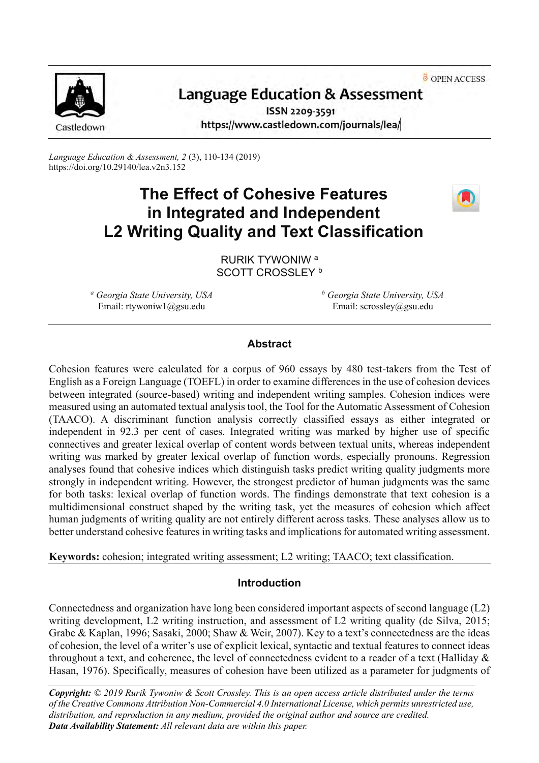OPEN ACCESS



# Language Education & Assessment

ISSN 2209-3591 https://www.castledown.com/journals/lea/

*Language Education & Assessment, 2* (3), 110-134 (2019) <https://doi.org/10.29140/lea.v2n3.152>

# **The Effect of Cohesive Features in Integrated and Independent L2 Writing Quality and Text Classification**



RURIK TYWONIW <sup>a</sup> SCOTT CROSSLEY<sup>b</sup>

*<sup>a</sup> Georgia State University, USA* Email: rtywoniw1@gsu.edu

*<sup>b</sup> Georgia State University, USA* Email: scrossley@gsu.edu

# **Abstract**

Cohesion features were calculated for a corpus of 960 essays by 480 test-takers from the Test of English as a Foreign Language (TOEFL) in order to examine differences in the use of cohesion devices between integrated (source-based) writing and independent writing samples. Cohesion indices were measured using an automated textual analysis tool, the Tool for the Automatic Assessment of Cohesion (TAACO). A discriminant function analysis correctly classified essays as either integrated or independent in 92.3 per cent of cases. Integrated writing was marked by higher use of specific connectives and greater lexical overlap of content words between textual units, whereas independent writing was marked by greater lexical overlap of function words, especially pronouns. Regression analyses found that cohesive indices which distinguish tasks predict writing quality judgments more strongly in independent writing. However, the strongest predictor of human judgments was the same for both tasks: lexical overlap of function words. The findings demonstrate that text cohesion is a multidimensional construct shaped by the writing task, yet the measures of cohesion which affect human judgments of writing quality are not entirely different across tasks. These analyses allow us to better understand cohesive features in writing tasks and implications for automated writing assessment.

**Keywords:** cohesion; integrated writing assessment; L2 writing; TAACO; text classification.

# **Introduction**

Connectedness and organization have long been considered important aspects of second language (L2) writing development, L2 writing instruction, and assessment of L2 writing quality (de Silva, 2015; Grabe & Kaplan, 1996; Sasaki, 2000; Shaw & Weir, 2007). Key to a text's connectedness are the ideas of cohesion, the level of a writer's use of explicit lexical, syntactic and textual features to connect ideas throughout a text, and coherence, the level of connectedness evident to a reader of a text (Halliday & Hasan, 1976). Specifically, measures of cohesion have been utilized as a parameter for judgments of

*Copyright: © 2019 Rurik Tywoniw & Scott Crossley. This is an open access article distributed under the terms of th[e Creative Commons Attribution Non-Commercial 4.0 International License,](http://creativecommons.org/licenses/by-nc-nd/4.0) which permits unrestricted use, distribution, and reproduction in any medium, provided the original author and source are credited. Data Availability Statement: All relevant data are within this paper.*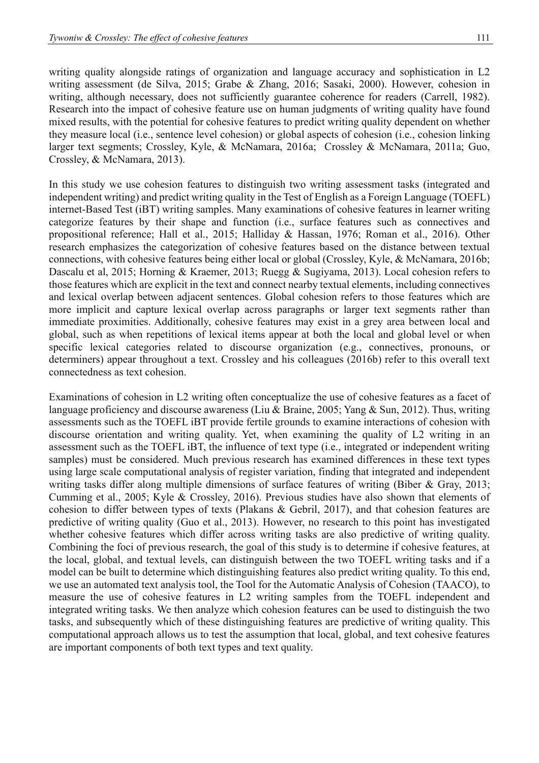writing quality alongside ratings of organization and language accuracy and sophistication in L2 writing assessment (de Silva, 2015; Grabe & Zhang, 2016; Sasaki, 2000). However, cohesion in writing, although necessary, does not sufficiently guarantee coherence for readers (Carrell, 1982). Research into the impact of cohesive feature use on human judgments of writing quality have found mixed results, with the potential for cohesive features to predict writing quality dependent on whether they measure local (i.e., sentence level cohesion) or global aspects of cohesion (i.e., cohesion linking larger text segments; Crossley, Kyle, & McNamara, 2016a; Crossley & McNamara, 2011a; Guo, Crossley, & McNamara, 2013).

In this study we use cohesion features to distinguish two writing assessment tasks (integrated and independent writing) and predict writing quality in the Test of English as a Foreign Language (TOEFL) internet-Based Test (iBT) writing samples. Many examinations of cohesive features in learner writing categorize features by their shape and function (i.e., surface features such as connectives and propositional reference; Hall et al., 2015; Halliday & Hassan, 1976; Roman et al., 2016). Other research emphasizes the categorization of cohesive features based on the distance between textual connections, with cohesive features being either local or global (Crossley, Kyle, & McNamara, 2016b; Dascalu et al, 2015; Horning & Kraemer, 2013; Ruegg & Sugiyama, 2013). Local cohesion refers to those features which are explicit in the text and connect nearby textual elements, including connectives and lexical overlap between adjacent sentences. Global cohesion refers to those features which are more implicit and capture lexical overlap across paragraphs or larger text segments rather than immediate proximities. Additionally, cohesive features may exist in a grey area between local and global, such as when repetitions of lexical items appear at both the local and global level or when specific lexical categories related to discourse organization (e.g., connectives, pronouns, or determiners) appear throughout a text. Crossley and his colleagues (2016b) refer to this overall text connectedness as text cohesion.

Examinations of cohesion in L2 writing often conceptualize the use of cohesive features as a facet of language proficiency and discourse awareness (Liu & Braine, 2005; Yang & Sun, 2012). Thus, writing assessments such as the TOEFL iBT provide fertile grounds to examine interactions of cohesion with discourse orientation and writing quality. Yet, when examining the quality of L2 writing in an assessment such as the TOEFL iBT, the influence of text type (i.e., integrated or independent writing samples) must be considered. Much previous research has examined differences in these text types using large scale computational analysis of register variation, finding that integrated and independent writing tasks differ along multiple dimensions of surface features of writing (Biber & Gray, 2013; Cumming et al., 2005; Kyle & Crossley, 2016). Previous studies have also shown that elements of cohesion to differ between types of texts (Plakans & Gebril, 2017), and that cohesion features are predictive of writing quality (Guo et al., 2013). However, no research to this point has investigated whether cohesive features which differ across writing tasks are also predictive of writing quality. Combining the foci of previous research, the goal of this study is to determine if cohesive features, at the local, global, and textual levels, can distinguish between the two TOEFL writing tasks and if a model can be built to determine which distinguishing features also predict writing quality. To this end, we use an automated text analysis tool, the Tool for the Automatic Analysis of Cohesion (TAACO), to measure the use of cohesive features in L2 writing samples from the TOEFL independent and integrated writing tasks. We then analyze which cohesion features can be used to distinguish the two tasks, and subsequently which of these distinguishing features are predictive of writing quality. This computational approach allows us to test the assumption that local, global, and text cohesive features are important components of both text types and text quality.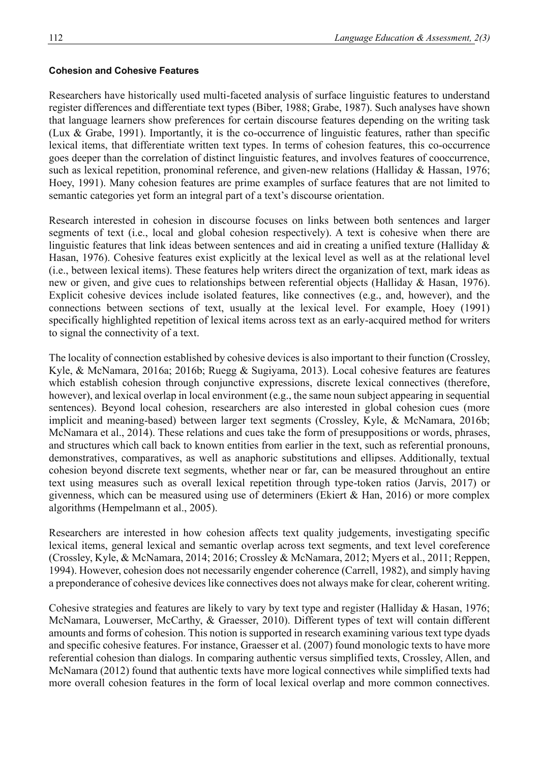# **Cohesion and Cohesive Features**

Researchers have historically used multi-faceted analysis of surface linguistic features to understand register differences and differentiate text types (Biber, 1988; Grabe, 1987). Such analyses have shown that language learners show preferences for certain discourse features depending on the writing task (Lux & Grabe, 1991). Importantly, it is the co-occurrence of linguistic features, rather than specific lexical items, that differentiate written text types. In terms of cohesion features, this co-occurrence goes deeper than the correlation of distinct linguistic features, and involves features of cooccurrence, such as lexical repetition, pronominal reference, and given-new relations (Halliday & Hassan, 1976; Hoey, 1991). Many cohesion features are prime examples of surface features that are not limited to semantic categories yet form an integral part of a text's discourse orientation.

Research interested in cohesion in discourse focuses on links between both sentences and larger segments of text (i.e., local and global cohesion respectively). A text is cohesive when there are linguistic features that link ideas between sentences and aid in creating a unified texture (Halliday & Hasan, 1976). Cohesive features exist explicitly at the lexical level as well as at the relational level (i.e., between lexical items). These features help writers direct the organization of text, mark ideas as new or given, and give cues to relationships between referential objects (Halliday & Hasan, 1976). Explicit cohesive devices include isolated features, like connectives (e.g., and, however), and the connections between sections of text, usually at the lexical level. For example, Hoey (1991) specifically highlighted repetition of lexical items across text as an early-acquired method for writers to signal the connectivity of a text.

The locality of connection established by cohesive devices is also important to their function (Crossley, Kyle, & McNamara, 2016a; 2016b; Ruegg & Sugiyama, 2013). Local cohesive features are features which establish cohesion through conjunctive expressions, discrete lexical connectives (therefore, however), and lexical overlap in local environment (e.g., the same noun subject appearing in sequential sentences). Beyond local cohesion, researchers are also interested in global cohesion cues (more implicit and meaning-based) between larger text segments (Crossley, Kyle, & McNamara, 2016b; McNamara et al., 2014). These relations and cues take the form of presuppositions or words, phrases, and structures which call back to known entities from earlier in the text, such as referential pronouns, demonstratives, comparatives, as well as anaphoric substitutions and ellipses. Additionally, textual cohesion beyond discrete text segments, whether near or far, can be measured throughout an entire text using measures such as overall lexical repetition through type-token ratios (Jarvis, 2017) or givenness, which can be measured using use of determiners (Ekiert & Han, 2016) or more complex algorithms (Hempelmann et al., 2005).

Researchers are interested in how cohesion affects text quality judgements, investigating specific lexical items, general lexical and semantic overlap across text segments, and text level coreference (Crossley, Kyle, & McNamara, 2014; 2016; Crossley & McNamara, 2012; Myers et al., 2011; Reppen, 1994). However, cohesion does not necessarily engender coherence (Carrell, 1982), and simply having a preponderance of cohesive devices like connectives does not always make for clear, coherent writing.

Cohesive strategies and features are likely to vary by text type and register (Halliday & Hasan, 1976; McNamara, Louwerser, McCarthy, & Graesser, 2010). Different types of text will contain different amounts and forms of cohesion. This notion is supported in research examining various text type dyads and specific cohesive features. For instance, Graesser et al. (2007) found monologic texts to have more referential cohesion than dialogs. In comparing authentic versus simplified texts, Crossley, Allen, and McNamara (2012) found that authentic texts have more logical connectives while simplified texts had more overall cohesion features in the form of local lexical overlap and more common connectives.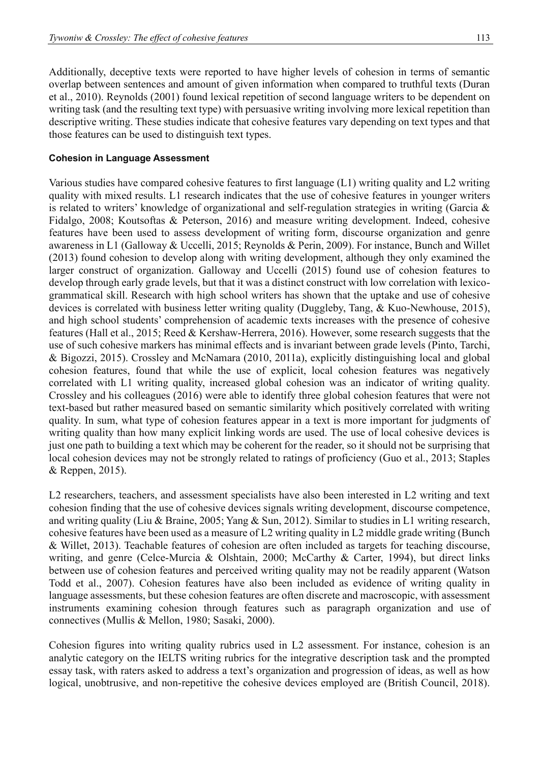Additionally, deceptive texts were reported to have higher levels of cohesion in terms of semantic overlap between sentences and amount of given information when compared to truthful texts (Duran et al., 2010). Reynolds (2001) found lexical repetition of second language writers to be dependent on writing task (and the resulting text type) with persuasive writing involving more lexical repetition than descriptive writing. These studies indicate that cohesive features vary depending on text types and that those features can be used to distinguish text types.

### **Cohesion in Language Assessment**

Various studies have compared cohesive features to first language (L1) writing quality and L2 writing quality with mixed results. L1 research indicates that the use of cohesive features in younger writers is related to writers' knowledge of organizational and self-regulation strategies in writing (Garcia & Fidalgo, 2008; Koutsoftas & Peterson, 2016) and measure writing development. Indeed, cohesive features have been used to assess development of writing form, discourse organization and genre awareness in L1 (Galloway & Uccelli, 2015; Reynolds & Perin, 2009). For instance, Bunch and Willet (2013) found cohesion to develop along with writing development, although they only examined the larger construct of organization. Galloway and Uccelli (2015) found use of cohesion features to develop through early grade levels, but that it was a distinct construct with low correlation with lexicogrammatical skill. Research with high school writers has shown that the uptake and use of cohesive devices is correlated with business letter writing quality (Duggleby, Tang, & Kuo-Newhouse, 2015), and high school students' comprehension of academic texts increases with the presence of cohesive features (Hall et al., 2015; Reed & Kershaw-Herrera, 2016). However, some research suggests that the use of such cohesive markers has minimal effects and is invariant between grade levels (Pinto, Tarchi, & Bigozzi, 2015). Crossley and McNamara (2010, 2011a), explicitly distinguishing local and global cohesion features, found that while the use of explicit, local cohesion features was negatively correlated with L1 writing quality, increased global cohesion was an indicator of writing quality. Crossley and his colleagues (2016) were able to identify three global cohesion features that were not text-based but rather measured based on semantic similarity which positively correlated with writing quality. In sum, what type of cohesion features appear in a text is more important for judgments of writing quality than how many explicit linking words are used. The use of local cohesive devices is just one path to building a text which may be coherent for the reader, so it should not be surprising that local cohesion devices may not be strongly related to ratings of proficiency (Guo et al., 2013; Staples & Reppen, 2015).

L2 researchers, teachers, and assessment specialists have also been interested in L2 writing and text cohesion finding that the use of cohesive devices signals writing development, discourse competence, and writing quality (Liu & Braine, 2005; Yang & Sun, 2012). Similar to studies in L1 writing research, cohesive features have been used as a measure of L2 writing quality in L2 middle grade writing (Bunch & Willet, 2013). Teachable features of cohesion are often included as targets for teaching discourse, writing, and genre (Celce-Murcia & Olshtain, 2000; McCarthy & Carter, 1994), but direct links between use of cohesion features and perceived writing quality may not be readily apparent (Watson Todd et al., 2007). Cohesion features have also been included as evidence of writing quality in language assessments, but these cohesion features are often discrete and macroscopic, with assessment instruments examining cohesion through features such as paragraph organization and use of connectives (Mullis & Mellon, 1980; Sasaki, 2000).

Cohesion figures into writing quality rubrics used in L2 assessment. For instance, cohesion is an analytic category on the IELTS writing rubrics for the integrative description task and the prompted essay task, with raters asked to address a text's organization and progression of ideas, as well as how logical, unobtrusive, and non-repetitive the cohesive devices employed are (British Council, 2018).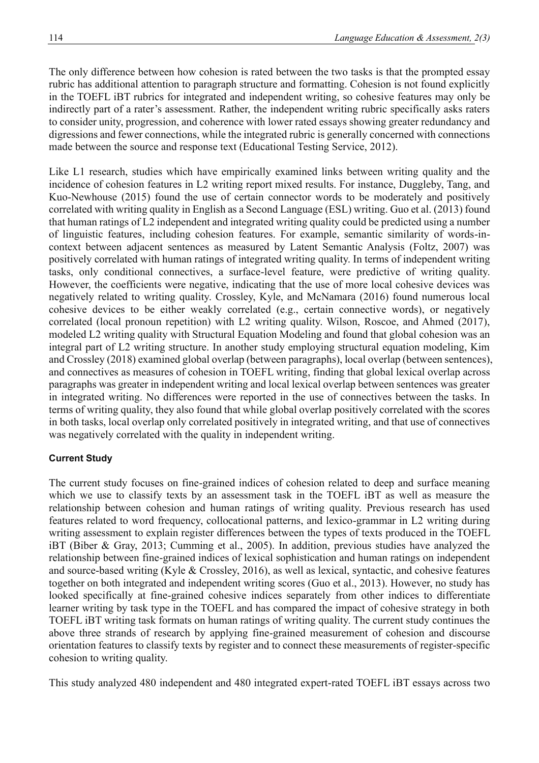The only difference between how cohesion is rated between the two tasks is that the prompted essay rubric has additional attention to paragraph structure and formatting. Cohesion is not found explicitly in the TOEFL iBT rubrics for integrated and independent writing, so cohesive features may only be indirectly part of a rater's assessment. Rather, the independent writing rubric specifically asks raters to consider unity, progression, and coherence with lower rated essays showing greater redundancy and digressions and fewer connections, while the integrated rubric is generally concerned with connections made between the source and response text (Educational Testing Service, 2012).

Like L1 research, studies which have empirically examined links between writing quality and the incidence of cohesion features in L2 writing report mixed results. For instance, Duggleby, Tang, and Kuo-Newhouse (2015) found the use of certain connector words to be moderately and positively correlated with writing quality in English as a Second Language (ESL) writing. Guo et al. (2013) found that human ratings of L2 independent and integrated writing quality could be predicted using a number of linguistic features, including cohesion features. For example, semantic similarity of words-incontext between adjacent sentences as measured by Latent Semantic Analysis (Foltz, 2007) was positively correlated with human ratings of integrated writing quality. In terms of independent writing tasks, only conditional connectives, a surface-level feature, were predictive of writing quality. However, the coefficients were negative, indicating that the use of more local cohesive devices was negatively related to writing quality. Crossley, Kyle, and McNamara (2016) found numerous local cohesive devices to be either weakly correlated (e.g., certain connective words), or negatively correlated (local pronoun repetition) with L2 writing quality. Wilson, Roscoe, and Ahmed (2017), modeled L2 writing quality with Structural Equation Modeling and found that global cohesion was an integral part of L2 writing structure. In another study employing structural equation modeling, Kim and Crossley (2018) examined global overlap (between paragraphs), local overlap (between sentences), and connectives as measures of cohesion in TOEFL writing, finding that global lexical overlap across paragraphs was greater in independent writing and local lexical overlap between sentences was greater in integrated writing. No differences were reported in the use of connectives between the tasks. In terms of writing quality, they also found that while global overlap positively correlated with the scores in both tasks, local overlap only correlated positively in integrated writing, and that use of connectives was negatively correlated with the quality in independent writing.

# **Current Study**

The current study focuses on fine-grained indices of cohesion related to deep and surface meaning which we use to classify texts by an assessment task in the TOEFL iBT as well as measure the relationship between cohesion and human ratings of writing quality. Previous research has used features related to word frequency, collocational patterns, and lexico-grammar in L2 writing during writing assessment to explain register differences between the types of texts produced in the TOEFL iBT (Biber & Gray, 2013; Cumming et al., 2005). In addition, previous studies have analyzed the relationship between fine-grained indices of lexical sophistication and human ratings on independent and source-based writing (Kyle & Crossley, 2016), as well as lexical, syntactic, and cohesive features together on both integrated and independent writing scores (Guo et al., 2013). However, no study has looked specifically at fine-grained cohesive indices separately from other indices to differentiate learner writing by task type in the TOEFL and has compared the impact of cohesive strategy in both TOEFL iBT writing task formats on human ratings of writing quality. The current study continues the above three strands of research by applying fine-grained measurement of cohesion and discourse orientation features to classify texts by register and to connect these measurements of register-specific cohesion to writing quality.

This study analyzed 480 independent and 480 integrated expert-rated TOEFL iBT essays across two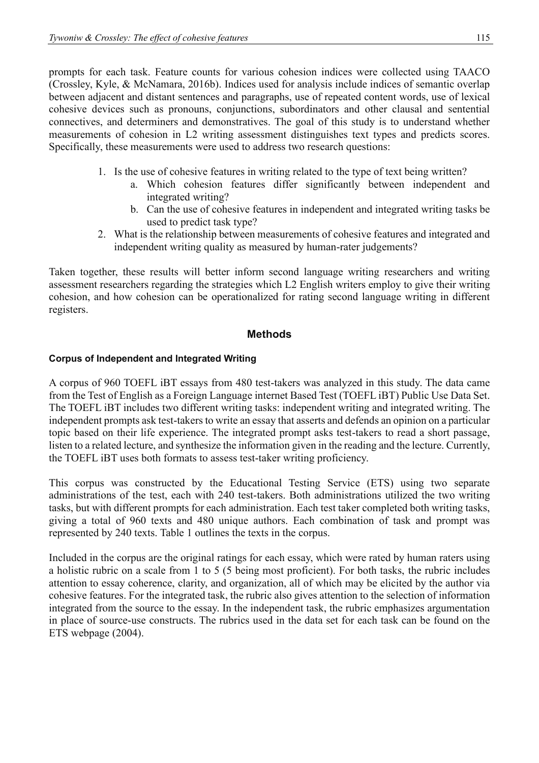prompts for each task. Feature counts for various cohesion indices were collected using TAACO (Crossley, Kyle, & McNamara, 2016b). Indices used for analysis include indices of semantic overlap between adjacent and distant sentences and paragraphs, use of repeated content words, use of lexical cohesive devices such as pronouns, conjunctions, subordinators and other clausal and sentential connectives, and determiners and demonstratives. The goal of this study is to understand whether measurements of cohesion in L2 writing assessment distinguishes text types and predicts scores. Specifically, these measurements were used to address two research questions:

- 1. Is the use of cohesive features in writing related to the type of text being written?
	- a. Which cohesion features differ significantly between independent and integrated writing?
	- b. Can the use of cohesive features in independent and integrated writing tasks be used to predict task type?
- 2. What is the relationship between measurements of cohesive features and integrated and independent writing quality as measured by human-rater judgements?

Taken together, these results will better inform second language writing researchers and writing assessment researchers regarding the strategies which L2 English writers employ to give their writing cohesion, and how cohesion can be operationalized for rating second language writing in different registers.

# **Methods**

# **Corpus of Independent and Integrated Writing**

A corpus of 960 TOEFL iBT essays from 480 test-takers was analyzed in this study. The data came from the Test of English as a Foreign Language internet Based Test (TOEFL iBT) Public Use Data Set. The TOEFL iBT includes two different writing tasks: independent writing and integrated writing. The independent prompts ask test-takers to write an essay that asserts and defends an opinion on a particular topic based on their life experience. The integrated prompt asks test-takers to read a short passage, listen to a related lecture, and synthesize the information given in the reading and the lecture. Currently, the TOEFL iBT uses both formats to assess test-taker writing proficiency.

This corpus was constructed by the Educational Testing Service (ETS) using two separate administrations of the test, each with 240 test-takers. Both administrations utilized the two writing tasks, but with different prompts for each administration. Each test taker completed both writing tasks, giving a total of 960 texts and 480 unique authors. Each combination of task and prompt was represented by 240 texts. Table 1 outlines the texts in the corpus.

Included in the corpus are the original ratings for each essay, which were rated by human raters using a holistic rubric on a scale from 1 to 5 (5 being most proficient). For both tasks, the rubric includes attention to essay coherence, clarity, and organization, all of which may be elicited by the author via cohesive features. For the integrated task, the rubric also gives attention to the selection of information integrated from the source to the essay. In the independent task, the rubric emphasizes argumentation in place of source-use constructs. The rubrics used in the data set for each task can be found on the ETS webpage (2004).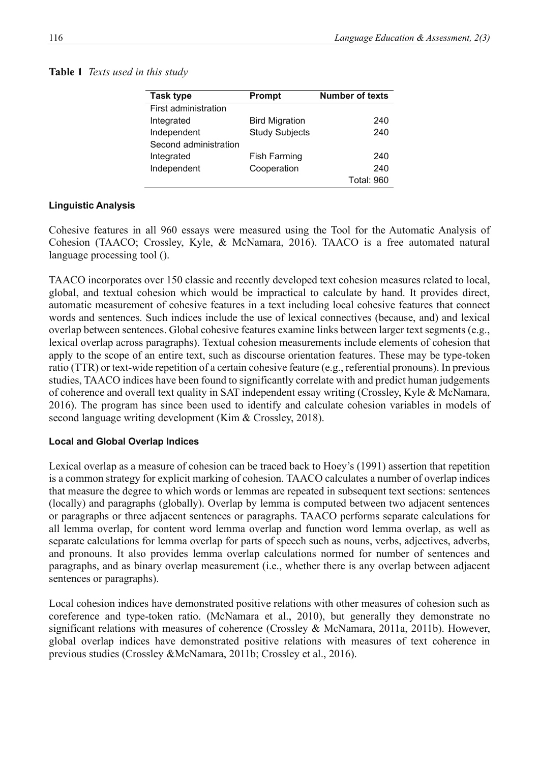# **Table 1** *Texts used in this study*

| <b>Task type</b>            | <b>Prompt</b>         | <b>Number of texts</b> |  |  |
|-----------------------------|-----------------------|------------------------|--|--|
| <b>First administration</b> |                       |                        |  |  |
| Integrated                  | <b>Bird Migration</b> | 240                    |  |  |
| Independent                 | <b>Study Subjects</b> | 240                    |  |  |
| Second administration       |                       |                        |  |  |
| Integrated                  | <b>Fish Farming</b>   | 240                    |  |  |
| Independent                 | Cooperation           | 240                    |  |  |
|                             |                       | <b>Total: 960</b>      |  |  |

### **Linguistic Analysis**

Cohesive features in all 960 essays were measured using the Tool for the Automatic Analysis of Cohesion (TAACO; Crossley, Kyle, & McNamara, 2016). TAACO is a free automated natural language processing tool ().

TAACO incorporates over 150 classic and recently developed text cohesion measures related to local, global, and textual cohesion which would be impractical to calculate by hand. It provides direct, automatic measurement of cohesive features in a text including local cohesive features that connect words and sentences. Such indices include the use of lexical connectives (because, and) and lexical overlap between sentences. Global cohesive features examine links between larger text segments (e.g., lexical overlap across paragraphs). Textual cohesion measurements include elements of cohesion that apply to the scope of an entire text, such as discourse orientation features. These may be type-token ratio (TTR) or text-wide repetition of a certain cohesive feature (e.g., referential pronouns). In previous studies, TAACO indices have been found to significantly correlate with and predict human judgements of coherence and overall text quality in SAT independent essay writing (Crossley, Kyle & McNamara, 2016). The program has since been used to identify and calculate cohesion variables in models of second language writing development (Kim & Crossley, 2018).

### **Local and Global Overlap Indices**

Lexical overlap as a measure of cohesion can be traced back to Hoey's (1991) assertion that repetition is a common strategy for explicit marking of cohesion. TAACO calculates a number of overlap indices that measure the degree to which words or lemmas are repeated in subsequent text sections: sentences (locally) and paragraphs (globally). Overlap by lemma is computed between two adjacent sentences or paragraphs or three adjacent sentences or paragraphs. TAACO performs separate calculations for all lemma overlap, for content word lemma overlap and function word lemma overlap, as well as separate calculations for lemma overlap for parts of speech such as nouns, verbs, adjectives, adverbs, and pronouns. It also provides lemma overlap calculations normed for number of sentences and paragraphs, and as binary overlap measurement (i.e., whether there is any overlap between adjacent sentences or paragraphs).

Local cohesion indices have demonstrated positive relations with other measures of cohesion such as coreference and type-token ratio. (McNamara et al., 2010), but generally they demonstrate no significant relations with measures of coherence (Crossley & McNamara, 2011a, 2011b). However, global overlap indices have demonstrated positive relations with measures of text coherence in previous studies (Crossley &McNamara, 2011b; Crossley et al., 2016).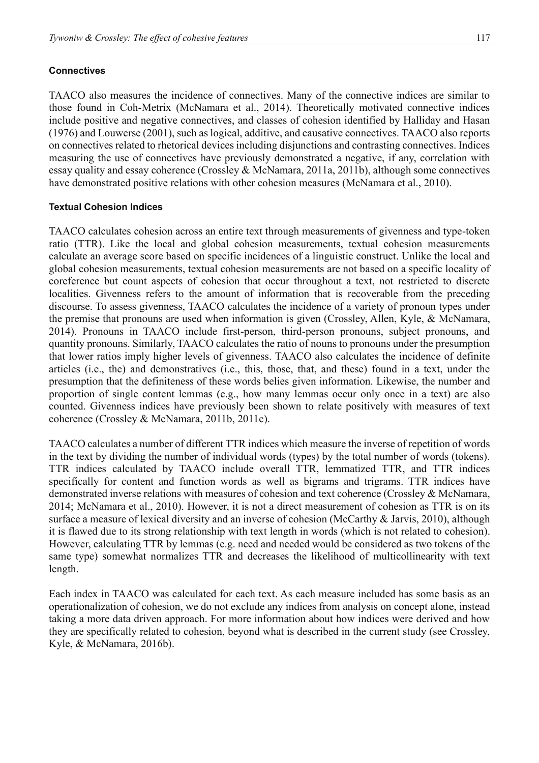# **Connectives**

TAACO also measures the incidence of connectives. Many of the connective indices are similar to those found in Coh-Metrix (McNamara et al., 2014). Theoretically motivated connective indices include positive and negative connectives, and classes of cohesion identified by Halliday and Hasan (1976) and Louwerse (2001), such as logical, additive, and causative connectives. TAACO also reports on connectives related to rhetorical devices including disjunctions and contrasting connectives. Indices measuring the use of connectives have previously demonstrated a negative, if any, correlation with essay quality and essay coherence (Crossley & McNamara, 2011a, 2011b), although some connectives have demonstrated positive relations with other cohesion measures (McNamara et al., 2010).

# **Textual Cohesion Indices**

TAACO calculates cohesion across an entire text through measurements of givenness and type-token ratio (TTR). Like the local and global cohesion measurements, textual cohesion measurements calculate an average score based on specific incidences of a linguistic construct. Unlike the local and global cohesion measurements, textual cohesion measurements are not based on a specific locality of coreference but count aspects of cohesion that occur throughout a text, not restricted to discrete localities. Givenness refers to the amount of information that is recoverable from the preceding discourse. To assess givenness, TAACO calculates the incidence of a variety of pronoun types under the premise that pronouns are used when information is given (Crossley, Allen, Kyle, & McNamara, 2014). Pronouns in TAACO include first-person, third-person pronouns, subject pronouns, and quantity pronouns. Similarly, TAACO calculates the ratio of nouns to pronouns under the presumption that lower ratios imply higher levels of givenness. TAACO also calculates the incidence of definite articles (i.e., the) and demonstratives (i.e., this, those, that, and these) found in a text, under the presumption that the definiteness of these words belies given information. Likewise, the number and proportion of single content lemmas (e.g., how many lemmas occur only once in a text) are also counted. Givenness indices have previously been shown to relate positively with measures of text coherence (Crossley & McNamara, 2011b, 2011c).

TAACO calculates a number of different TTR indices which measure the inverse of repetition of words in the text by dividing the number of individual words (types) by the total number of words (tokens). TTR indices calculated by TAACO include overall TTR, lemmatized TTR, and TTR indices specifically for content and function words as well as bigrams and trigrams. TTR indices have demonstrated inverse relations with measures of cohesion and text coherence (Crossley & McNamara, 2014; McNamara et al., 2010). However, it is not a direct measurement of cohesion as TTR is on its surface a measure of lexical diversity and an inverse of cohesion (McCarthy & Jarvis, 2010), although it is flawed due to its strong relationship with text length in words (which is not related to cohesion). However, calculating TTR by lemmas (e.g. need and needed would be considered as two tokens of the same type) somewhat normalizes TTR and decreases the likelihood of multicollinearity with text length.

Each index in TAACO was calculated for each text. As each measure included has some basis as an operationalization of cohesion, we do not exclude any indices from analysis on concept alone, instead taking a more data driven approach. For more information about how indices were derived and how they are specifically related to cohesion, beyond what is described in the current study (see Crossley, Kyle, & McNamara, 2016b).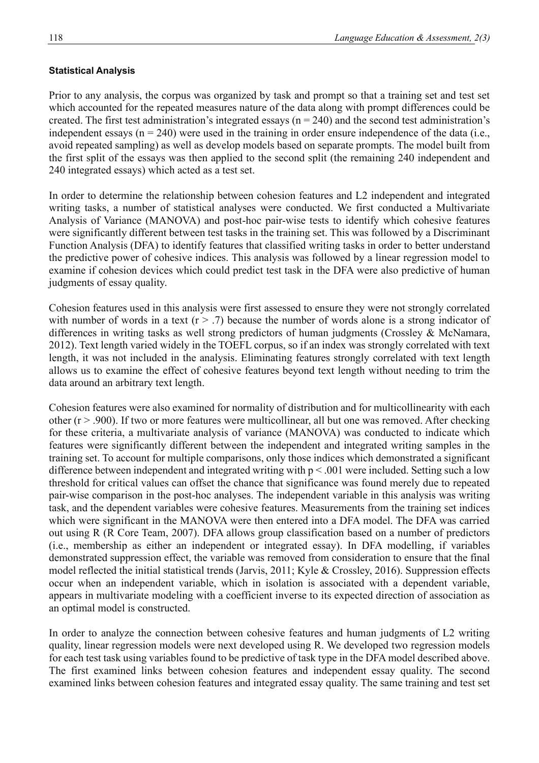### **Statistical Analysis**

Prior to any analysis, the corpus was organized by task and prompt so that a training set and test set which accounted for the repeated measures nature of the data along with prompt differences could be created. The first test administration's integrated essays ( $n = 240$ ) and the second test administration's independent essays  $(n = 240)$  were used in the training in order ensure independence of the data (i.e., avoid repeated sampling) as well as develop models based on separate prompts. The model built from the first split of the essays was then applied to the second split (the remaining 240 independent and 240 integrated essays) which acted as a test set.

In order to determine the relationship between cohesion features and L2 independent and integrated writing tasks, a number of statistical analyses were conducted. We first conducted a Multivariate Analysis of Variance (MANOVA) and post-hoc pair-wise tests to identify which cohesive features were significantly different between test tasks in the training set. This was followed by a Discriminant Function Analysis (DFA) to identify features that classified writing tasks in order to better understand the predictive power of cohesive indices. This analysis was followed by a linear regression model to examine if cohesion devices which could predict test task in the DFA were also predictive of human judgments of essay quality.

Cohesion features used in this analysis were first assessed to ensure they were not strongly correlated with number of words in a text  $(r > .7)$  because the number of words alone is a strong indicator of differences in writing tasks as well strong predictors of human judgments (Crossley & McNamara, 2012). Text length varied widely in the TOEFL corpus, so if an index was strongly correlated with text length, it was not included in the analysis. Eliminating features strongly correlated with text length allows us to examine the effect of cohesive features beyond text length without needing to trim the data around an arbitrary text length.

Cohesion features were also examined for normality of distribution and for multicollinearity with each other (r > .900). If two or more features were multicollinear, all but one was removed. After checking for these criteria, a multivariate analysis of variance (MANOVA) was conducted to indicate which features were significantly different between the independent and integrated writing samples in the training set. To account for multiple comparisons, only those indices which demonstrated a significant difference between independent and integrated writing with  $p < .001$  were included. Setting such a low threshold for critical values can offset the chance that significance was found merely due to repeated pair-wise comparison in the post-hoc analyses. The independent variable in this analysis was writing task, and the dependent variables were cohesive features. Measurements from the training set indices which were significant in the MANOVA were then entered into a DFA model. The DFA was carried out using R (R Core Team, 2007). DFA allows group classification based on a number of predictors (i.e., membership as either an independent or integrated essay). In DFA modelling, if variables demonstrated suppression effect, the variable was removed from consideration to ensure that the final model reflected the initial statistical trends (Jarvis, 2011; Kyle & Crossley, 2016). Suppression effects occur when an independent variable, which in isolation is associated with a dependent variable, appears in multivariate modeling with a coefficient inverse to its expected direction of association as an optimal model is constructed.

In order to analyze the connection between cohesive features and human judgments of L2 writing quality, linear regression models were next developed using R. We developed two regression models for each test task using variables found to be predictive of task type in the DFA model described above. The first examined links between cohesion features and independent essay quality. The second examined links between cohesion features and integrated essay quality. The same training and test set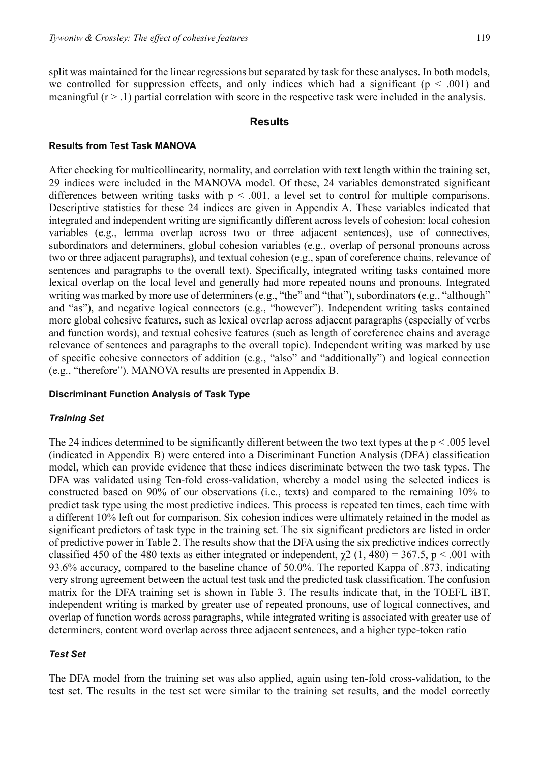split was maintained for the linear regressions but separated by task for these analyses. In both models, we controlled for suppression effects, and only indices which had a significant ( $p < .001$ ) and meaningful  $(r > 1)$  partial correlation with score in the respective task were included in the analysis.

#### **Results**

#### **Results from Test Task MANOVA**

After checking for multicollinearity, normality, and correlation with text length within the training set, 29 indices were included in the MANOVA model. Of these, 24 variables demonstrated significant differences between writing tasks with  $p < .001$ , a level set to control for multiple comparisons. Descriptive statistics for these 24 indices are given in Appendix A. These variables indicated that integrated and independent writing are significantly different across levels of cohesion: local cohesion variables (e.g., lemma overlap across two or three adjacent sentences), use of connectives, subordinators and determiners, global cohesion variables (e.g., overlap of personal pronouns across two or three adjacent paragraphs), and textual cohesion (e.g., span of coreference chains, relevance of sentences and paragraphs to the overall text). Specifically, integrated writing tasks contained more lexical overlap on the local level and generally had more repeated nouns and pronouns. Integrated writing was marked by more use of determiners (e.g., "the" and "that"), subordinators (e.g., "although" and "as"), and negative logical connectors (e.g., "however"). Independent writing tasks contained more global cohesive features, such as lexical overlap across adjacent paragraphs (especially of verbs and function words), and textual cohesive features (such as length of coreference chains and average relevance of sentences and paragraphs to the overall topic). Independent writing was marked by use of specific cohesive connectors of addition (e.g., "also" and "additionally") and logical connection (e.g., "therefore"). MANOVA results are presented in Appendix B.

#### **Discriminant Function Analysis of Task Type**

#### *Training Set*

The 24 indices determined to be significantly different between the two text types at the  $p < .005$  level (indicated in Appendix B) were entered into a Discriminant Function Analysis (DFA) classification model, which can provide evidence that these indices discriminate between the two task types. The DFA was validated using Ten-fold cross-validation, whereby a model using the selected indices is constructed based on 90% of our observations (i.e., texts) and compared to the remaining 10% to predict task type using the most predictive indices. This process is repeated ten times, each time with a different 10% left out for comparison. Six cohesion indices were ultimately retained in the model as significant predictors of task type in the training set. The six significant predictors are listed in order of predictive power in Table 2. The results show that the DFA using the six predictive indices correctly classified 450 of the 480 texts as either integrated or independent,  $\chi$ 2 (1, 480) = 367.5, p < .001 with 93.6% accuracy, compared to the baseline chance of 50.0%. The reported Kappa of .873, indicating very strong agreement between the actual test task and the predicted task classification. The confusion matrix for the DFA training set is shown in Table 3. The results indicate that, in the TOEFL iBT, independent writing is marked by greater use of repeated pronouns, use of logical connectives, and overlap of function words across paragraphs, while integrated writing is associated with greater use of determiners, content word overlap across three adjacent sentences, and a higher type-token ratio

#### *Test Set*

The DFA model from the training set was also applied, again using ten-fold cross-validation, to the test set. The results in the test set were similar to the training set results, and the model correctly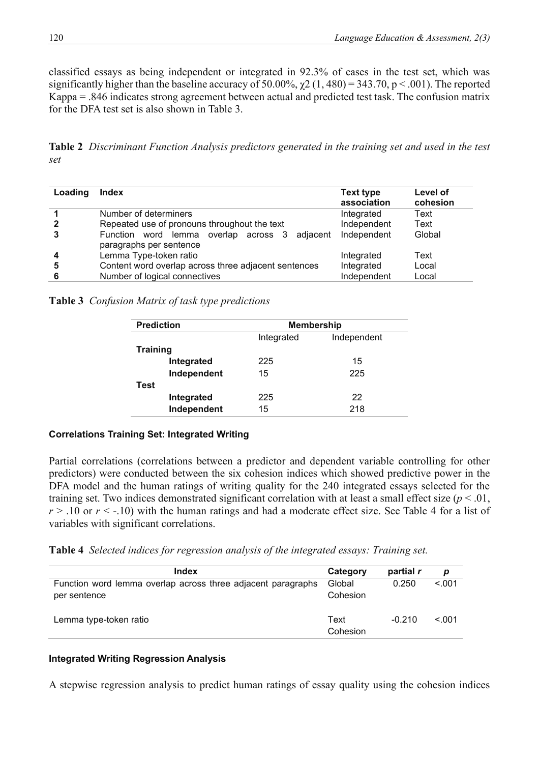classified essays as being independent or integrated in 92.3% of cases in the test set, which was significantly higher than the baseline accuracy of 50.00%,  $\chi$ 2 (1, 480) = 343.70, p < .001). The reported Kappa = .846 indicates strong agreement between actual and predicted test task. The confusion matrix for the DFA test set is also shown in Table 3.

**Table 2** *Discriminant Function Analysis predictors generated in the training set and used in the test set*

| Loading | <b>Index</b>                                                                | Text type<br>association | Level of<br>cohesion |
|---------|-----------------------------------------------------------------------------|--------------------------|----------------------|
|         | Number of determiners                                                       | Integrated               | Text                 |
|         | Repeated use of pronouns throughout the text                                | Independent              | Text                 |
|         | Function word lemma overlap across 3<br>adiacent<br>paragraphs per sentence | Independent              | Global               |
| 4       | Lemma Type-token ratio                                                      | Integrated               | Text                 |
| 5       | Content word overlap across three adjacent sentences                        | Integrated               | Local                |
|         | Number of logical connectives                                               | Independent              | Local                |

**Table 3** *Confusion Matrix of task type predictions*

| <b>Prediction</b> |             | <b>Membership</b>         |     |  |  |  |  |
|-------------------|-------------|---------------------------|-----|--|--|--|--|
|                   |             | Integrated<br>Independent |     |  |  |  |  |
| <b>Training</b>   |             |                           |     |  |  |  |  |
|                   | Integrated  | 225                       | 15  |  |  |  |  |
|                   | Independent | 15                        | 225 |  |  |  |  |
| Test              |             |                           |     |  |  |  |  |
|                   | Integrated  | 225                       | 22  |  |  |  |  |
|                   | Independent | 15                        | 218 |  |  |  |  |
|                   |             |                           |     |  |  |  |  |

#### **Correlations Training Set: Integrated Writing**

Partial correlations (correlations between a predictor and dependent variable controlling for other predictors) were conducted between the six cohesion indices which showed predictive power in the DFA model and the human ratings of writing quality for the 240 integrated essays selected for the training set. Two indices demonstrated significant correlation with at least a small effect size (*p* < .01,  $r > 0.10$  or  $r \le -10$ ) with the human ratings and had a moderate effect size. See Table 4 for a list of variables with significant correlations.

**Table 4** *Selected indices for regression analysis of the integrated essays: Training set.*

| Index                                                                        | Category           | partial r | p      |
|------------------------------------------------------------------------------|--------------------|-----------|--------|
| Function word lemma overlap across three adjacent paragraphs<br>per sentence | Global<br>Cohesion | 0.250     | < 0.01 |
| Lemma type-token ratio                                                       | Text<br>Cohesion   | $-0.210$  | < 0.01 |

#### **Integrated Writing Regression Analysis**

A stepwise regression analysis to predict human ratings of essay quality using the cohesion indices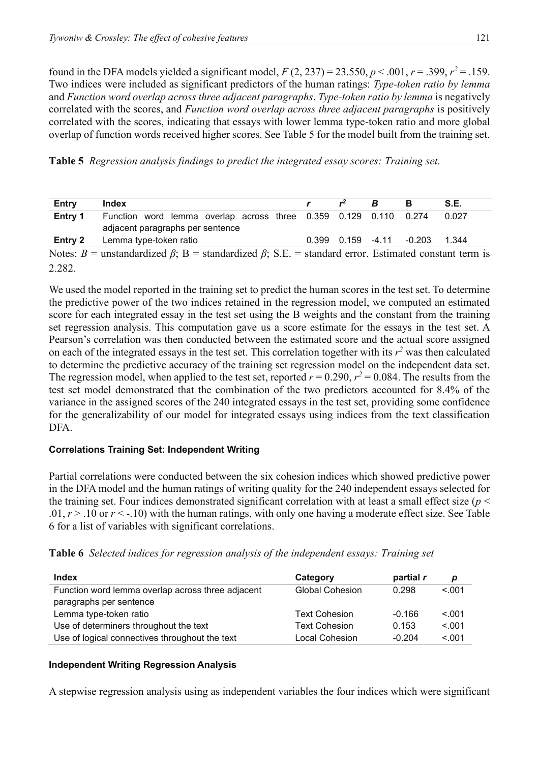found in the DFA models yielded a significant model,  $F(2, 237) = 23.550, p < .001, r = .399, r^2 = .159$ . Two indices were included as significant predictors of the human ratings: *Type-token ratio by lemma*  and *Function word overlap across three adjacent paragraphs*. *Type-token ratio by lemma* is negatively correlated with the scores, and *Function word overlap across three adjacent paragraphs* is positively correlated with the scores, indicating that essays with lower lemma type-token ratio and more global overlap of function words received higher scores. See Table 5 for the model built from the training set.

**Table 5** *Regression analysis findings to predict the integrated essay scores: Training set.*

| Entry   | Index                                                                                                            | $r^2$ | B | в                                | S.E.  |
|---------|------------------------------------------------------------------------------------------------------------------|-------|---|----------------------------------|-------|
| Entry 1 | Function word lemma overlap across three 0.359 0.129 0.110 0.274<br>adjacent paragraphs per sentence             |       |   |                                  | 0.027 |
|         | <b>Entry 2</b> Lemma type-token ratio                                                                            |       |   | $0.399$ $0.159$ $-4.11$ $-0.203$ | 1.344 |
|         | Notes: B = unstandardized $\beta$ ; B = standardized $\beta$ ; S.E. = standard error. Estimated constant term is |       |   |                                  |       |
| 2.282.  |                                                                                                                  |       |   |                                  |       |

We used the model reported in the training set to predict the human scores in the test set. To determine the predictive power of the two indices retained in the regression model, we computed an estimated score for each integrated essay in the test set using the B weights and the constant from the training set regression analysis. This computation gave us a score estimate for the essays in the test set. A Pearson's correlation was then conducted between the estimated score and the actual score assigned on each of the integrated essays in the test set. This correlation together with its  $r^2$  was then calculated to determine the predictive accuracy of the training set regression model on the independent data set. The regression model, when applied to the test set, reported  $r = 0.290$ ,  $r^2 = 0.084$ . The results from the test set model demonstrated that the combination of the two predictors accounted for 8.4% of the variance in the assigned scores of the 240 integrated essays in the test set, providing some confidence for the generalizability of our model for integrated essays using indices from the text classification DFA.

# **Correlations Training Set: Independent Writing**

Partial correlations were conducted between the six cohesion indices which showed predictive power in the DFA model and the human ratings of writing quality for the 240 independent essays selected for the training set. Four indices demonstrated significant correlation with at least a small effect size (*p* < .01,  $r > 0.10$  or  $r < -0.10$  with the human ratings, with only one having a moderate effect size. See Table 6 for a list of variables with significant correlations.

|  |  |  |  |  |  |  | Table 6 Selected indices for regression analysis of the independent essays: Training set |  |  |
|--|--|--|--|--|--|--|------------------------------------------------------------------------------------------|--|--|
|--|--|--|--|--|--|--|------------------------------------------------------------------------------------------|--|--|

| <b>Index</b>                                      | Category               | partial r | p      |
|---------------------------------------------------|------------------------|-----------|--------|
| Function word lemma overlap across three adjacent | <b>Global Cohesion</b> | 0.298     | < 0.01 |
| paragraphs per sentence                           |                        |           |        |
| Lemma type-token ratio                            | <b>Text Cohesion</b>   | $-0.166$  | < 0.01 |
| Use of determiners throughout the text            | <b>Text Cohesion</b>   | 0.153     | < 0.01 |
| Use of logical connectives throughout the text    | Local Cohesion         | $-0.204$  | < 0.01 |

# **Independent Writing Regression Analysis**

A stepwise regression analysis using as independent variables the four indices which were significant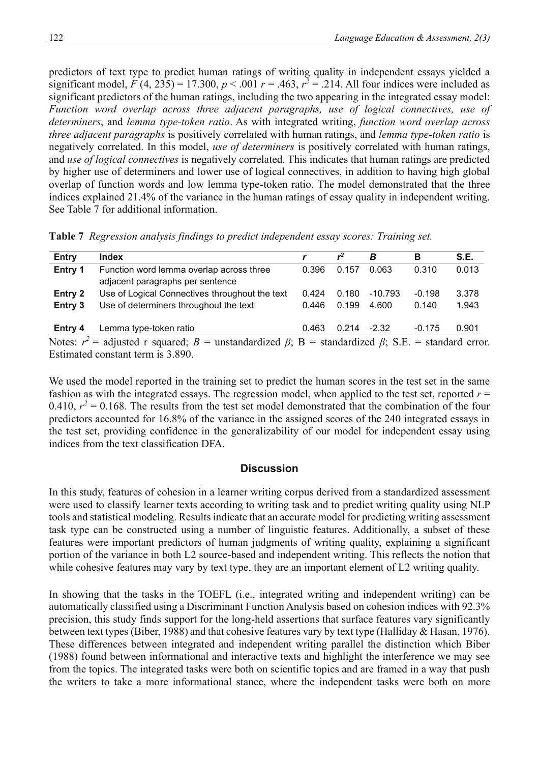predictors of text type to predict human ratings of writing quality in independent essays yielded a significant model,  $F(4, 235) = 17.300$ ,  $p < .001$   $r = .463$ ,  $r^2 = .214$ . All four indices were included as significant predictors of the human ratings, including the two appearing in the integrated essay model: Function word overlap across three adjacent paragraphs, use of logical connectives, use of *determiners*, and *lemma type-token ratio*. As with integrated writing, *function word overlap across three adjacent paragraphs* is positively correlated with human ratings, and *lemma type-token ratio* is negatively correlated. In this model, *use of determiners* is positively correlated with human ratings, and *use of logical connectives* is negatively correlated. This indicates that human ratings are predicted by higher use of determiners and lower use of logical connectives, in addition to having high global overlap of function words and low lemma type-token ratio. The model demonstrated that the three indices explained 21.4% of the variance in the human ratings of essay quality in independent writing. See Table 7 for additional information.

|  |  |  |  |  |  | Table 7 Regression analysis findings to predict independent essay scores: Training set. |  |
|--|--|--|--|--|--|-----------------------------------------------------------------------------------------|--|
|--|--|--|--|--|--|-----------------------------------------------------------------------------------------|--|

| Entry   | <b>Index</b>                                                                                                        |       | r <sup>2</sup> | В         | в        | S.E.  |
|---------|---------------------------------------------------------------------------------------------------------------------|-------|----------------|-----------|----------|-------|
| Entry 1 | Function word lemma overlap across three<br>adjacent paragraphs per sentence                                        | 0.396 | 0.157          | 0.063     | 0.310    | 0.013 |
| Entry 2 | Use of Logical Connectives throughout the text                                                                      | 0.424 | 0.180          | $-10.793$ | $-0.198$ | 3.378 |
| Entry 3 | Use of determiners throughout the text                                                                              | 0.446 | 0.199          | 4.600     | 0.140    | 1.943 |
| Entry 4 | Lemma type-token ratio                                                                                              | 0.463 | $0.214 - 2.32$ |           | $-0.175$ | 0.901 |
|         | Notes: $r^2$ = adjusted r squared; $B$ = unstandardized $\beta$ ; B = standardized $\beta$ ; S.E. = standard error. |       |                |           |          |       |

Estimated constant term is 3.890.

We used the model reported in the training set to predict the human scores in the test set in the same fashion as with the integrated essays. The regression model, when applied to the test set, reported  $r =$ 0.410,  $r^2 = 0.168$ . The results from the test set model demonstrated that the combination of the four predictors accounted for 16.8% of the variance in the assigned scores of the 240 integrated essays in the test set, providing confidence in the generalizability of our model for independent essay using indices from the text classification DFA.

# **Discussion**

In this study, features of cohesion in a learner writing corpus derived from a standardized assessment were used to classify learner texts according to writing task and to predict writing quality using NLP tools and statistical modeling. Results indicate that an accurate model for predicting writing assessment task type can be constructed using a number of linguistic features. Additionally, a subset of these features were important predictors of human judgments of writing quality, explaining a significant portion of the variance in both L2 source-based and independent writing. This reflects the notion that while cohesive features may vary by text type, they are an important element of L2 writing quality.

In showing that the tasks in the TOEFL (i.e., integrated writing and independent writing) can be automatically classified using a Discriminant Function Analysis based on cohesion indices with 92.3% precision, this study finds support for the long-held assertions that surface features vary significantly between text types (Biber, 1988) and that cohesive features vary by text type (Halliday & Hasan, 1976). These differences between integrated and independent writing parallel the distinction which Biber (1988) found between informational and interactive texts and highlight the interference we may see from the topics. The integrated tasks were both on scientific topics and are framed in a way that push the writers to take a more informational stance, where the independent tasks were both on more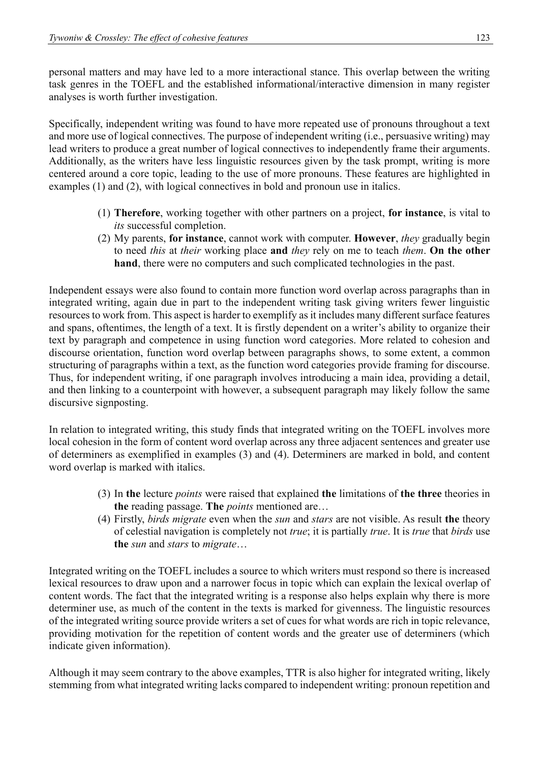personal matters and may have led to a more interactional stance. This overlap between the writing task genres in the TOEFL and the established informational/interactive dimension in many register analyses is worth further investigation.

Specifically, independent writing was found to have more repeated use of pronouns throughout a text and more use of logical connectives. The purpose of independent writing (i.e., persuasive writing) may lead writers to produce a great number of logical connectives to independently frame their arguments. Additionally, as the writers have less linguistic resources given by the task prompt, writing is more centered around a core topic, leading to the use of more pronouns. These features are highlighted in examples (1) and (2), with logical connectives in bold and pronoun use in italics.

- (1) **Therefore**, working together with other partners on a project, **for instance**, is vital to *its* successful completion.
- (2) My parents, **for instance**, cannot work with computer. **However**, *they* gradually begin to need *this* at *their* working place **and** *they* rely on me to teach *them*. **On the other hand**, there were no computers and such complicated technologies in the past.

Independent essays were also found to contain more function word overlap across paragraphs than in integrated writing, again due in part to the independent writing task giving writers fewer linguistic resources to work from. This aspect is harder to exemplify as it includes many different surface features and spans, oftentimes, the length of a text. It is firstly dependent on a writer's ability to organize their text by paragraph and competence in using function word categories. More related to cohesion and discourse orientation, function word overlap between paragraphs shows, to some extent, a common structuring of paragraphs within a text, as the function word categories provide framing for discourse. Thus, for independent writing, if one paragraph involves introducing a main idea, providing a detail, and then linking to a counterpoint with however, a subsequent paragraph may likely follow the same discursive signposting.

In relation to integrated writing, this study finds that integrated writing on the TOEFL involves more local cohesion in the form of content word overlap across any three adjacent sentences and greater use of determiners as exemplified in examples (3) and (4). Determiners are marked in bold, and content word overlap is marked with italics.

- (3) In **the** lecture *points* were raised that explained **the** limitations of **the three** theories in **the** reading passage. **The** *points* mentioned are…
- (4) Firstly, *birds migrate* even when the *sun* and *stars* are not visible. As result **the** theory of celestial navigation is completely not *true*; it is partially *true*. It is *true* that *birds* use **the** *sun* and *stars* to *migrate*…

Integrated writing on the TOEFL includes a source to which writers must respond so there is increased lexical resources to draw upon and a narrower focus in topic which can explain the lexical overlap of content words. The fact that the integrated writing is a response also helps explain why there is more determiner use, as much of the content in the texts is marked for givenness. The linguistic resources of the integrated writing source provide writers a set of cues for what words are rich in topic relevance, providing motivation for the repetition of content words and the greater use of determiners (which indicate given information).

Although it may seem contrary to the above examples, TTR is also higher for integrated writing, likely stemming from what integrated writing lacks compared to independent writing: pronoun repetition and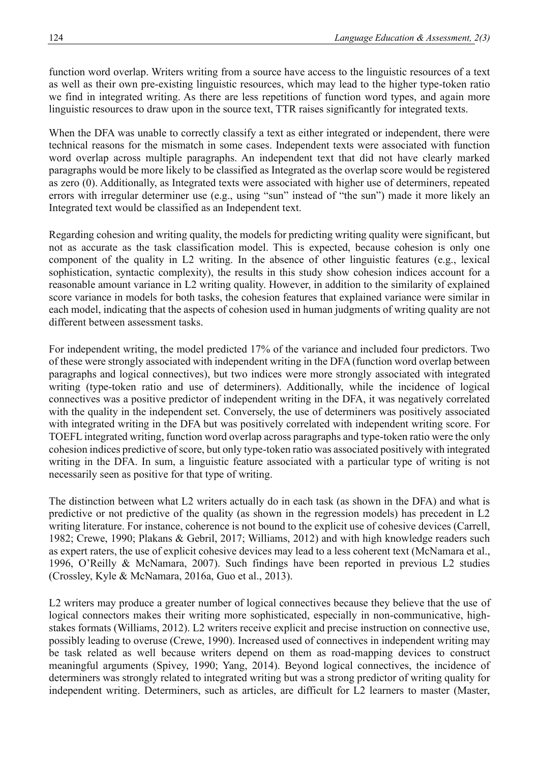function word overlap. Writers writing from a source have access to the linguistic resources of a text as well as their own pre-existing linguistic resources, which may lead to the higher type-token ratio we find in integrated writing. As there are less repetitions of function word types, and again more linguistic resources to draw upon in the source text, TTR raises significantly for integrated texts.

When the DFA was unable to correctly classify a text as either integrated or independent, there were technical reasons for the mismatch in some cases. Independent texts were associated with function word overlap across multiple paragraphs. An independent text that did not have clearly marked paragraphs would be more likely to be classified as Integrated as the overlap score would be registered as zero (0). Additionally, as Integrated texts were associated with higher use of determiners, repeated errors with irregular determiner use (e.g., using "sun" instead of "the sun") made it more likely an Integrated text would be classified as an Independent text.

Regarding cohesion and writing quality, the models for predicting writing quality were significant, but not as accurate as the task classification model. This is expected, because cohesion is only one component of the quality in L2 writing. In the absence of other linguistic features (e.g., lexical sophistication, syntactic complexity), the results in this study show cohesion indices account for a reasonable amount variance in L2 writing quality. However, in addition to the similarity of explained score variance in models for both tasks, the cohesion features that explained variance were similar in each model, indicating that the aspects of cohesion used in human judgments of writing quality are not different between assessment tasks.

For independent writing, the model predicted 17% of the variance and included four predictors. Two of these were strongly associated with independent writing in the DFA (function word overlap between paragraphs and logical connectives), but two indices were more strongly associated with integrated writing (type-token ratio and use of determiners). Additionally, while the incidence of logical connectives was a positive predictor of independent writing in the DFA, it was negatively correlated with the quality in the independent set. Conversely, the use of determiners was positively associated with integrated writing in the DFA but was positively correlated with independent writing score. For TOEFL integrated writing, function word overlap across paragraphs and type-token ratio were the only cohesion indices predictive of score, but only type-token ratio was associated positively with integrated writing in the DFA. In sum, a linguistic feature associated with a particular type of writing is not necessarily seen as positive for that type of writing.

The distinction between what L2 writers actually do in each task (as shown in the DFA) and what is predictive or not predictive of the quality (as shown in the regression models) has precedent in L2 writing literature. For instance, coherence is not bound to the explicit use of cohesive devices (Carrell, 1982; Crewe, 1990; Plakans & Gebril, 2017; Williams, 2012) and with high knowledge readers such as expert raters, the use of explicit cohesive devices may lead to a less coherent text (McNamara et al., 1996, O'Reilly & McNamara, 2007). Such findings have been reported in previous L2 studies (Crossley, Kyle & McNamara, 2016a, Guo et al., 2013).

L2 writers may produce a greater number of logical connectives because they believe that the use of logical connectors makes their writing more sophisticated, especially in non-communicative, highstakes formats (Williams, 2012). L2 writers receive explicit and precise instruction on connective use, possibly leading to overuse (Crewe, 1990). Increased used of connectives in independent writing may be task related as well because writers depend on them as road-mapping devices to construct meaningful arguments (Spivey, 1990; Yang, 2014). Beyond logical connectives, the incidence of determiners was strongly related to integrated writing but was a strong predictor of writing quality for independent writing. Determiners, such as articles, are difficult for L2 learners to master (Master,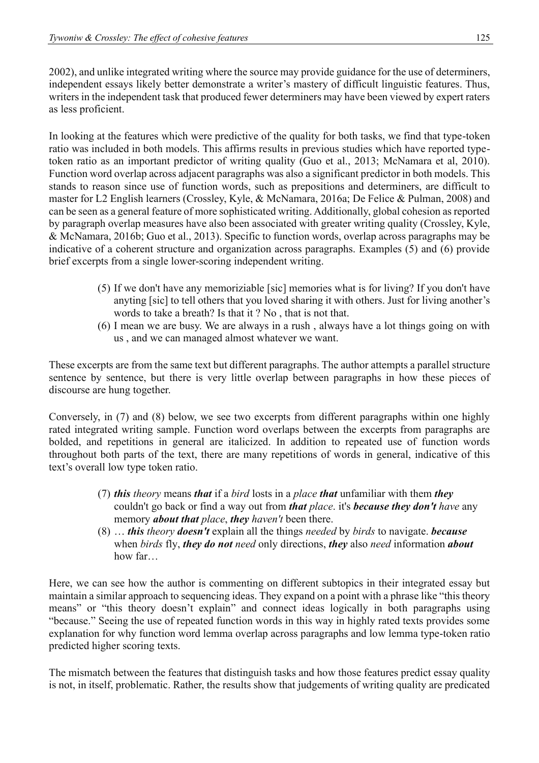2002), and unlike integrated writing where the source may provide guidance for the use of determiners, independent essays likely better demonstrate a writer's mastery of difficult linguistic features. Thus, writers in the independent task that produced fewer determiners may have been viewed by expert raters as less proficient.

In looking at the features which were predictive of the quality for both tasks, we find that type-token ratio was included in both models. This affirms results in previous studies which have reported typetoken ratio as an important predictor of writing quality (Guo et al., 2013; McNamara et al, 2010). Function word overlap across adjacent paragraphs was also a significant predictor in both models. This stands to reason since use of function words, such as prepositions and determiners, are difficult to master for L2 English learners (Crossley, Kyle, & McNamara, 2016a; De Felice & Pulman, 2008) and can be seen as a general feature of more sophisticated writing. Additionally, global cohesion as reported by paragraph overlap measures have also been associated with greater writing quality (Crossley, Kyle, & McNamara, 2016b; Guo et al., 2013). Specific to function words, overlap across paragraphs may be indicative of a coherent structure and organization across paragraphs. Examples (5) and (6) provide brief excerpts from a single lower-scoring independent writing.

- (5) If we don't have any memoriziable [sic] memories what is for living? If you don't have anyting [sic] to tell others that you loved sharing it with others. Just for living another's words to take a breath? Is that it ? No , that is not that.
- (6) I mean we are busy. We are always in a rush , always have a lot things going on with us , and we can managed almost whatever we want.

These excerpts are from the same text but different paragraphs. The author attempts a parallel structure sentence by sentence, but there is very little overlap between paragraphs in how these pieces of discourse are hung together.

Conversely, in (7) and (8) below, we see two excerpts from different paragraphs within one highly rated integrated writing sample. Function word overlaps between the excerpts from paragraphs are bolded, and repetitions in general are italicized. In addition to repeated use of function words throughout both parts of the text, there are many repetitions of words in general, indicative of this text's overall low type token ratio.

- (7) *this theory* means *that* if a *bird* losts in a *place that* unfamiliar with them *they* couldn't go back or find a way out from *that place*. it's *because they don't have* any memory *about that place*, *they haven't* been there.
- (8) … *this theory doesn't* explain all the things *needed* by *birds* to navigate. *because* when *birds* fly, *they do not need* only directions, *they* also *need* information *about* how far…

Here, we can see how the author is commenting on different subtopics in their integrated essay but maintain a similar approach to sequencing ideas. They expand on a point with a phrase like "this theory means" or "this theory doesn't explain" and connect ideas logically in both paragraphs using "because." Seeing the use of repeated function words in this way in highly rated texts provides some explanation for why function word lemma overlap across paragraphs and low lemma type-token ratio predicted higher scoring texts.

The mismatch between the features that distinguish tasks and how those features predict essay quality is not, in itself, problematic. Rather, the results show that judgements of writing quality are predicated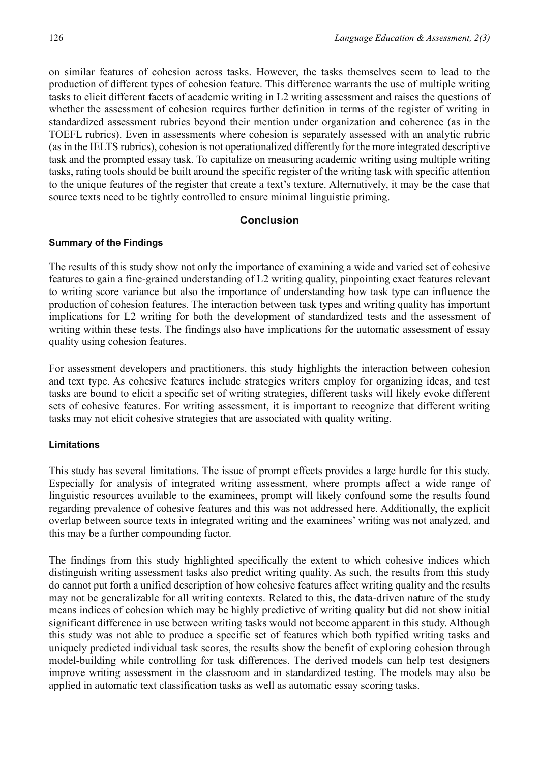on similar features of cohesion across tasks. However, the tasks themselves seem to lead to the production of different types of cohesion feature. This difference warrants the use of multiple writing tasks to elicit different facets of academic writing in L2 writing assessment and raises the questions of whether the assessment of cohesion requires further definition in terms of the register of writing in standardized assessment rubrics beyond their mention under organization and coherence (as in the TOEFL rubrics). Even in assessments where cohesion is separately assessed with an analytic rubric (as in the IELTS rubrics), cohesion is not operationalized differently for the more integrated descriptive task and the prompted essay task. To capitalize on measuring academic writing using multiple writing tasks, rating tools should be built around the specific register of the writing task with specific attention to the unique features of the register that create a text's texture. Alternatively, it may be the case that source texts need to be tightly controlled to ensure minimal linguistic priming.

# **Conclusion**

#### **Summary of the Findings**

The results of this study show not only the importance of examining a wide and varied set of cohesive features to gain a fine-grained understanding of L2 writing quality, pinpointing exact features relevant to writing score variance but also the importance of understanding how task type can influence the production of cohesion features. The interaction between task types and writing quality has important implications for L2 writing for both the development of standardized tests and the assessment of writing within these tests. The findings also have implications for the automatic assessment of essay quality using cohesion features.

For assessment developers and practitioners, this study highlights the interaction between cohesion and text type. As cohesive features include strategies writers employ for organizing ideas, and test tasks are bound to elicit a specific set of writing strategies, different tasks will likely evoke different sets of cohesive features. For writing assessment, it is important to recognize that different writing tasks may not elicit cohesive strategies that are associated with quality writing.

#### **Limitations**

This study has several limitations. The issue of prompt effects provides a large hurdle for this study. Especially for analysis of integrated writing assessment, where prompts affect a wide range of linguistic resources available to the examinees, prompt will likely confound some the results found regarding prevalence of cohesive features and this was not addressed here. Additionally, the explicit overlap between source texts in integrated writing and the examinees' writing was not analyzed, and this may be a further compounding factor.

The findings from this study highlighted specifically the extent to which cohesive indices which distinguish writing assessment tasks also predict writing quality. As such, the results from this study do cannot put forth a unified description of how cohesive features affect writing quality and the results may not be generalizable for all writing contexts. Related to this, the data-driven nature of the study means indices of cohesion which may be highly predictive of writing quality but did not show initial significant difference in use between writing tasks would not become apparent in this study. Although this study was not able to produce a specific set of features which both typified writing tasks and uniquely predicted individual task scores, the results show the benefit of exploring cohesion through model-building while controlling for task differences. The derived models can help test designers improve writing assessment in the classroom and in standardized testing. The models may also be applied in automatic text classification tasks as well as automatic essay scoring tasks.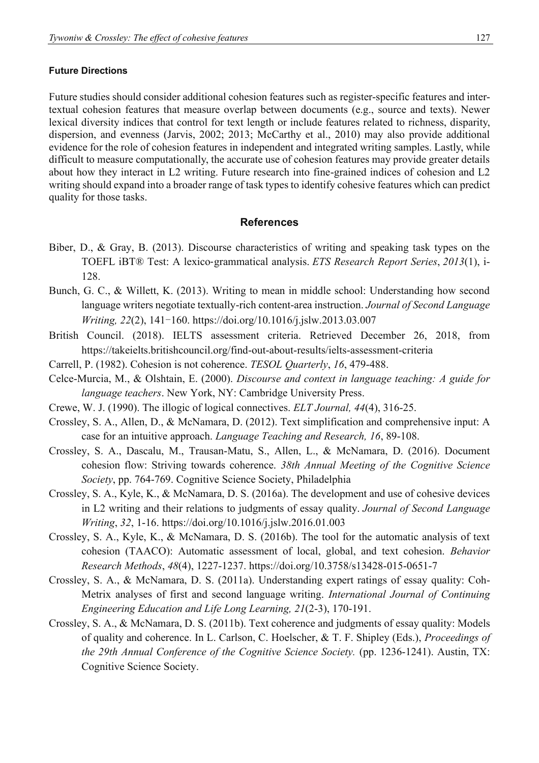#### **Future Directions**

Future studies should consider additional cohesion features such as register-specific features and intertextual cohesion features that measure overlap between documents (e.g., source and texts). Newer lexical diversity indices that control for text length or include features related to richness, disparity, dispersion, and evenness (Jarvis, 2002; 2013; McCarthy et al., 2010) may also provide additional evidence for the role of cohesion features in independent and integrated writing samples. Lastly, while difficult to measure computationally, the accurate use of cohesion features may provide greater details about how they interact in L2 writing. Future research into fine-grained indices of cohesion and L2 writing should expand into a broader range of task types to identify cohesive features which can predict quality for those tasks.

#### **References**

- Biber, D., & Gray, B. (2013). Discourse characteristics of writing and speaking task types on the TOEFL iBT® Test: A lexico‐grammatical analysis. *ETS Research Report Series*, *2013*(1), i-128.
- Bunch, G. C., & Willett, K. (2013). Writing to mean in middle school: Understanding how second language writers negotiate textually-rich content-area instruction. *Journal of Second Language Writing, 22*(2), 141-160.<https://doi.org/10.1016/j.jslw.2013.03.007>
- British Council. (2018). IELTS assessment criteria. Retrieved December 26, 2018, from <https://takeielts.britishcouncil.org/find-out-about-results/ielts-assessment-criteria>
- Carrell, P. (1982). Cohesion is not coherence. *TESOL Quarterly*, *16*, 479-488.
- Celce-Murcia, M., & Olshtain, E. (2000). *Discourse and context in language teaching: A guide for language teachers*. New York, NY: Cambridge University Press.
- Crewe, W. J. (1990). The illogic of logical connectives. *ELT Journal, 44*(4), 316-25.
- Crossley, S. A., Allen, D., & McNamara, D. (2012). Text simplification and comprehensive input: A case for an intuitive approach. *Language Teaching and Research, 16*, 89-108.
- Crossley, S. A., Dascalu, M., Trausan-Matu, S., Allen, L., & McNamara, D. (2016). Document cohesion flow: Striving towards coherence. *38th Annual Meeting of the Cognitive Science Society*, pp. 764-769. Cognitive Science Society, Philadelphia
- Crossley, S. A., Kyle, K., & McNamara, D. S. (2016a). The development and use of cohesive devices in L2 writing and their relations to judgments of essay quality. *Journal of Second Language Writing*, *32*, 1-16.<https://doi.org/10.1016/j.jslw.2016.01.003>
- Crossley, S. A., Kyle, K., & McNamara, D. S. (2016b). The tool for the automatic analysis of text cohesion (TAACO): Automatic assessment of local, global, and text cohesion. *Behavior Research Methods*, *48*(4), 1227-1237.<https://doi.org/10.3758/s13428-015-0651-7>
- Crossley, S. A., & McNamara, D. S. (2011a). Understanding expert ratings of essay quality: Coh-Metrix analyses of first and second language writing. *International Journal of Continuing Engineering Education and Life Long Learning, 21*(2-3), 170-191.
- Crossley, S. A., & McNamara, D. S. (2011b). Text coherence and judgments of essay quality: Models of quality and coherence. In L. Carlson, C. Hoelscher, & T. F. Shipley (Eds.), *Proceedings of the 29th Annual Conference of the Cognitive Science Society.* (pp. 1236-1241). Austin, TX: Cognitive Science Society.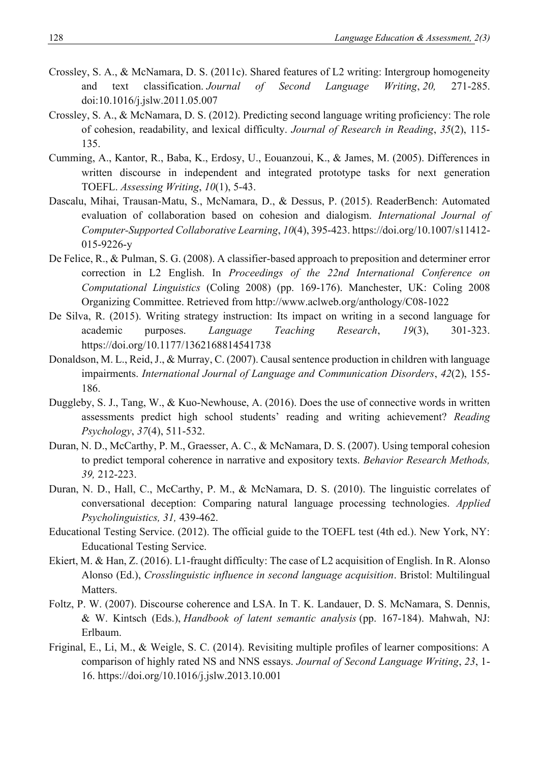- Crossley, S. A., & McNamara, D. S. (2011c). Shared features of L2 writing: Intergroup homogeneity and text classification. *Journal of Second Language Writing*, *20,* 271-285. doi:10.1016/j.jslw.2011.05.007
- Crossley, S. A., & McNamara, D. S. (2012). Predicting second language writing proficiency: The role of cohesion, readability, and lexical difficulty. *Journal of Research in Reading*, *35*(2), 115- 135.
- Cumming, A., Kantor, R., Baba, K., Erdosy, U., Eouanzoui, K., & James, M. (2005). Differences in written discourse in independent and integrated prototype tasks for next generation TOEFL. *Assessing Writing*, *10*(1), 5-43.
- Dascalu, Mihai, Trausan-Matu, S., McNamara, D., & Dessus, P. (2015). ReaderBench: Automated evaluation of collaboration based on cohesion and dialogism. *International Journal of Computer-Supported Collaborative Learning*, *10*(4), 395-423. [https://doi.org/10.1007/s11412-](https://doi.org/10.1007/s11412-015-9226-y) [015-9226-y](https://doi.org/10.1007/s11412-015-9226-y)
- De Felice, R., & Pulman, S. G. (2008). A classifier-based approach to preposition and determiner error correction in L2 English. In *Proceedings of the 22nd International Conference on Computational Linguistics* (Coling 2008) (pp. 169-176). Manchester, UK: Coling 2008 Organizing Committee. Retrieved from<http://www.aclweb.org/anthology/C08-1022>
- De Silva, R. (2015). Writing strategy instruction: Its impact on writing in a second language for academic purposes. *Language Teaching Research*, *19*(3), 301-323. <https://doi.org/10.1177/1362168814541738>
- Donaldson, M. L., Reid, J., & Murray, C. (2007). Causal sentence production in children with language impairments. *International Journal of Language and Communication Disorders*, *42*(2), 155- 186.
- Duggleby, S. J., Tang, W., & Kuo-Newhouse, A. (2016). Does the use of connective words in written assessments predict high school students' reading and writing achievement? *Reading Psychology*, *37*(4), 511-532.
- Duran, N. D., McCarthy, P. M., Graesser, A. C., & McNamara, D. S. (2007). Using temporal cohesion to predict temporal coherence in narrative and expository texts. *Behavior Research Methods, 39,* 212-223.
- Duran, N. D., Hall, C., McCarthy, P. M., & McNamara, D. S. (2010). The linguistic correlates of conversational deception: Comparing natural language processing technologies. *Applied Psycholinguistics, 31,* 439-462.
- Educational Testing Service. (2012). The official guide to the TOEFL test (4th ed.). New York, NY: Educational Testing Service.
- Ekiert, M. & Han, Z. (2016). L1-fraught difficulty: The case of L2 acquisition of English. In R. Alonso Alonso (Ed.), *Crosslinguistic influence in second language acquisition*. Bristol: Multilingual Matters.
- Foltz, P. W. (2007). Discourse coherence and LSA. In T. K. Landauer, D. S. McNamara, S. Dennis, & W. Kintsch (Eds.), *Handbook of latent semantic analysis* (pp. 167-184). Mahwah, NJ: Erlbaum.
- Friginal, E., Li, M., & Weigle, S. C. (2014). Revisiting multiple profiles of learner compositions: A comparison of highly rated NS and NNS essays. *Journal of Second Language Writing*, *23*, 1- 16. <https://doi.org/10.1016/j.jslw.2013.10.001>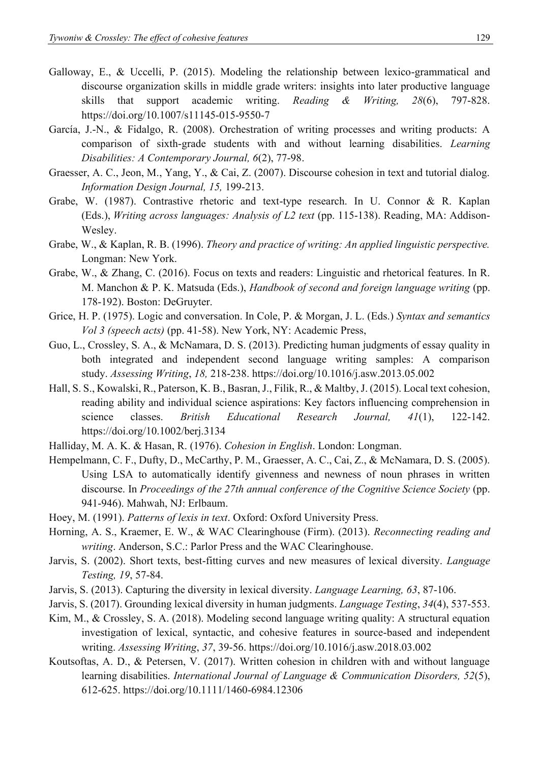- Galloway, E., & Uccelli, P. (2015). Modeling the relationship between lexico-grammatical and discourse organization skills in middle grade writers: insights into later productive language skills that support academic writing. *Reading & Writing, 28*(6), 797-828. <https://doi.org/10.1007/s11145-015-9550-7>
- García, J.-N., & Fidalgo, R. (2008). Orchestration of writing processes and writing products: A comparison of sixth-grade students with and without learning disabilities. *Learning Disabilities: A Contemporary Journal, 6*(2), 77-98.
- Graesser, A. C., Jeon, M., Yang, Y., & Cai, Z. (2007). Discourse cohesion in text and tutorial dialog. *Information Design Journal, 15,* 199-213.
- Grabe, W. (1987). Contrastive rhetoric and text-type research. In U. Connor & R. Kaplan (Eds.), *Writing across languages: Analysis of L2 text* (pp. 115-138). Reading, MA: Addison-Wesley.
- Grabe, W., & Kaplan, R. B. (1996). *Theory and practice of writing: An applied linguistic perspective.*  Longman: New York.
- Grabe, W., & Zhang, C. (2016). Focus on texts and readers: Linguistic and rhetorical features. In R. M. Manchon & P. K. Matsuda (Eds.), *Handbook of second and foreign language writing* (pp. 178-192). Boston: DeGruyter.
- Grice, H. P. (1975). Logic and conversation. In Cole, P. & Morgan, J. L. (Eds.) *Syntax and semantics Vol 3 (speech acts)* (pp. 41-58). New York, NY: Academic Press,
- Guo, L., Crossley, S. A., & McNamara, D. S. (2013). Predicting human judgments of essay quality in both integrated and independent second language writing samples: A comparison study. *Assessing Writing*, *18,* 218-238.<https://doi.org/10.1016/j.asw.2013.05.002>
- Hall, S. S., Kowalski, R., Paterson, K. B., Basran, J., Filik, R., & Maltby, J. (2015). Local text cohesion, reading ability and individual science aspirations: Key factors influencing comprehension in science classes. *British Educational Research Journal, 41*(1), 122-142. <https://doi.org/10.1002/berj.3134>
- Halliday, M. A. K. & Hasan, R. (1976). *Cohesion in English*. London: Longman.
- Hempelmann, C. F., Dufty, D., McCarthy, P. M., Graesser, A. C., Cai, Z., & McNamara, D. S. (2005). Using LSA to automatically identify givenness and newness of noun phrases in written discourse. In *Proceedings of the 27th annual conference of the Cognitive Science Society* (pp. 941-946). Mahwah, NJ: Erlbaum.
- Hoey, M. (1991). *Patterns of lexis in text*. Oxford: Oxford University Press.
- Horning, A. S., Kraemer, E. W., & WAC Clearinghouse (Firm). (2013). *Reconnecting reading and writing*. Anderson, S.C.: Parlor Press and the WAC Clearinghouse.
- Jarvis, S. (2002). Short texts, best-fitting curves and new measures of lexical diversity. *Language Testing, 19*, 57-84.
- Jarvis, S. (2013). Capturing the diversity in lexical diversity. *Language Learning, 63*, 87-106.
- Jarvis, S. (2017). Grounding lexical diversity in human judgments. *Language Testing*, *34*(4), 537-553.
- Kim, M., & Crossley, S. A. (2018). Modeling second language writing quality: A structural equation investigation of lexical, syntactic, and cohesive features in source-based and independent writing. *Assessing Writing*, *37*, 39-56.<https://doi.org/10.1016/j.asw.2018.03.002>
- Koutsoftas, A. D., & Petersen, V. (2017). Written cohesion in children with and without language learning disabilities. *International Journal of Language & Communication Disorders, 52*(5), 612-625.<https://doi.org/10.1111/1460-6984.12306>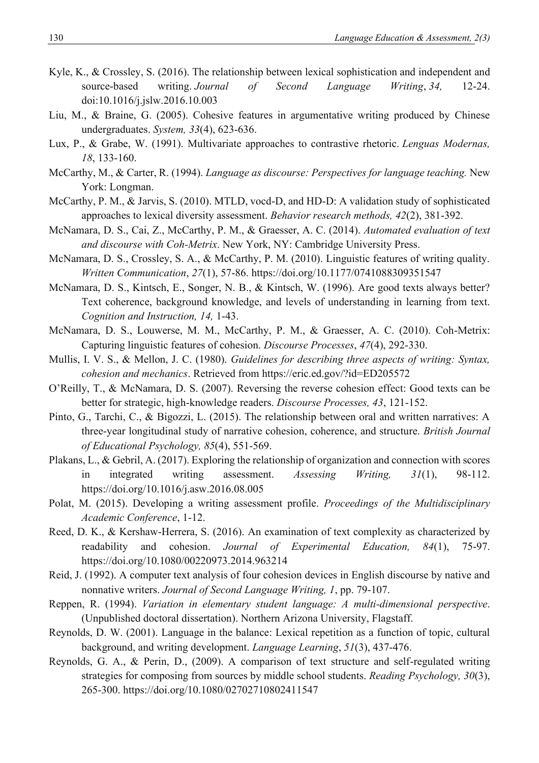- Kyle, K., & Crossley, S. (2016). The relationship between lexical sophistication and independent and source-based writing. *Journal of Second Language Writing*, *34,* 12-24. doi:10.1016/j.jslw.2016.10.003
- Liu, M., & Braine, G. (2005). Cohesive features in argumentative writing produced by Chinese undergraduates. *System, 33*(4), 623-636.
- Lux, P., & Grabe, W. (1991). Multivariate approaches to contrastive rhetoric. *Lenguas Modernas, 18*, 133-160.
- McCarthy, M., & Carter, R. (1994). *Language as discourse: Perspectives for language teaching.* New York: Longman.
- McCarthy, P. M., & Jarvis, S. (2010). MTLD, vocd-D, and HD-D: A validation study of sophisticated approaches to lexical diversity assessment. *Behavior research methods, 42*(2), 381-392.
- McNamara, D. S., Cai, Z., McCarthy, P. M., & Graesser, A. C. (2014). *Automated evaluation of text and discourse with Coh-Metrix*. New York, NY: Cambridge University Press.
- McNamara, D. S., Crossley, S. A., & McCarthy, P. M. (2010). Linguistic features of writing quality. *Written Communication*, *27*(1), 57-86.<https://doi.org/10.1177/0741088309351547>
- McNamara, D. S., Kintsch, E., Songer, N. B., & Kintsch, W. (1996). Are good texts always better? Text coherence, background knowledge, and levels of understanding in learning from text. *Cognition and Instruction, 14,* 1-43.
- McNamara, D. S., Louwerse, M. M., McCarthy, P. M., & Graesser, A. C. (2010). Coh-Metrix: Capturing linguistic features of cohesion. *Discourse Processes*, *47*(4), 292-330.
- Mullis, I. V. S., & Mellon, J. C. (1980). *Guidelines for describing three aspects of writing: Syntax, cohesion and mechanics*. Retrieved from<https://eric.ed.gov/?id=ED205572>
- O'Reilly, T., & McNamara, D. S. (2007). Reversing the reverse cohesion effect: Good texts can be better for strategic, high-knowledge readers. *Discourse Processes, 43*, 121-152.
- Pinto, G., Tarchi, C., & Bigozzi, L. (2015). The relationship between oral and written narratives: A three-year longitudinal study of narrative cohesion, coherence, and structure. *British Journal of Educational Psychology, 85*(4), 551-569.
- Plakans, L., & Gebril, A. (2017). Exploring the relationship of organization and connection with scores in integrated writing assessment. *Assessing Writing, 31*(1), 98-112. <https://doi.org/10.1016/j.asw.2016.08.005>
- Polat, M. (2015). Developing a writing assessment profile. *Proceedings of the Multidisciplinary Academic Conference*, 1-12.
- Reed, D. K., & Kershaw-Herrera, S. (2016). An examination of text complexity as characterized by readability and cohesion. *Journal of Experimental Education, 84*(1), 75-97. <https://doi.org/10.1080/00220973.2014.963214>
- Reid, J. (1992). A computer text analysis of four cohesion devices in English discourse by native and nonnative writers. *Journal of Second Language Writing, 1*, pp. 79-107.
- Reppen, R. (1994). *Variation in elementary student language: A multi-dimensional perspective*. (Unpublished doctoral dissertation). Northern Arizona University, Flagstaff.
- Reynolds, D. W. (2001). Language in the balance: Lexical repetition as a function of topic, cultural background, and writing development. *Language Learning*, *51*(3), 437-476.
- Reynolds, G. A., & Perin, D., (2009). A comparison of text structure and self-regulated writing strategies for composing from sources by middle school students. *Reading Psychology, 30*(3), 265-300.<https://doi.org/10.1080/02702710802411547>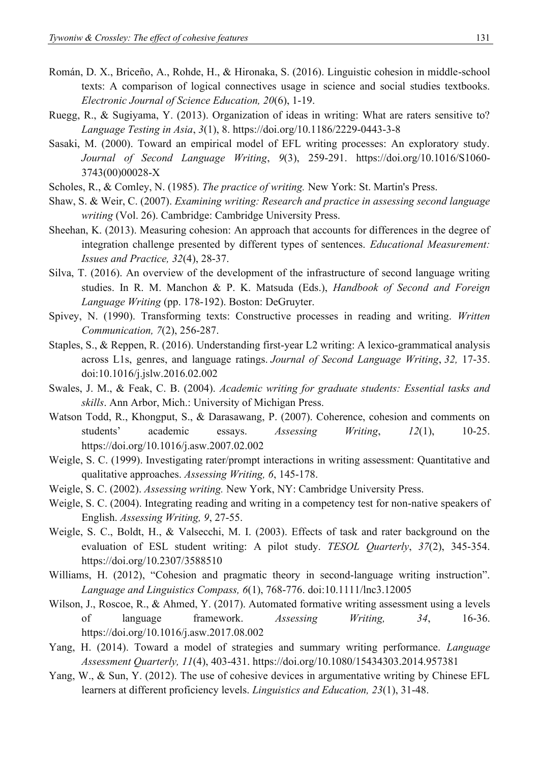- Román, D. X., Briceño, A., Rohde, H., & Hironaka, S. (2016). Linguistic cohesion in middle-school texts: A comparison of logical connectives usage in science and social studies textbooks. *Electronic Journal of Science Education, 20*(6), 1-19.
- Ruegg, R., & Sugiyama, Y. (2013). Organization of ideas in writing: What are raters sensitive to? *Language Testing in Asia*, *3*(1), 8.<https://doi.org/10.1186/2229-0443-3-8>
- Sasaki, M. (2000). Toward an empirical model of EFL writing processes: An exploratory study. *Journal of Second Language Writing*, *9*(3), 259-291. [https://doi.org/10.1016/S1060-](https://doi.org/10.1016/S1060-3743(00)00028-X) [3743\(00\)00028-X](https://doi.org/10.1016/S1060-3743(00)00028-X)
- Scholes, R., & Comley, N. (1985). *The practice of writing.* New York: St. Martin's Press.
- Shaw, S. & Weir, C. (2007). *Examining writing: Research and practice in assessing second language writing* (Vol. 26). Cambridge: Cambridge University Press.
- Sheehan, K. (2013). Measuring cohesion: An approach that accounts for differences in the degree of integration challenge presented by different types of sentences. *Educational Measurement: Issues and Practice, 32*(4), 28-37.
- Silva, T. (2016). An overview of the development of the infrastructure of second language writing studies. In R. M. Manchon & P. K. Matsuda (Eds.), *Handbook of Second and Foreign Language Writing* (pp. 178-192). Boston: DeGruyter.
- Spivey, N. (1990). Transforming texts: Constructive processes in reading and writing. *Written Communication, 7*(2), 256-287.
- Staples, S., & Reppen, R. (2016). Understanding first-year L2 writing: A lexico-grammatical analysis across L1s, genres, and language ratings. *Journal of Second Language Writing*, *32,* 17-35. doi:10.1016/j.jslw.2016.02.002
- Swales, J. M., & Feak, C. B. (2004). *Academic writing for graduate students: Essential tasks and skills*. Ann Arbor, Mich.: University of Michigan Press.
- Watson Todd, R., Khongput, S., & Darasawang, P. (2007). Coherence, cohesion and comments on students' academic essays. *Assessing Writing*, *12*(1), 10-25. <https://doi.org/10.1016/j.asw.2007.02.002>
- Weigle, S. C. (1999). Investigating rater/prompt interactions in writing assessment: Quantitative and qualitative approaches. *Assessing Writing, 6*, 145-178.
- Weigle, S. C. (2002). *Assessing writing.* New York, NY: Cambridge University Press.
- Weigle, S. C. (2004). Integrating reading and writing in a competency test for non-native speakers of English. *Assessing Writing, 9*, 27-55.
- Weigle, S. C., Boldt, H., & Valsecchi, M. I. (2003). Effects of task and rater background on the evaluation of ESL student writing: A pilot study. *TESOL Quarterly*, *37*(2), 345-354. <https://doi.org/10.2307/3588510>
- Williams, H. (2012), "Cohesion and pragmatic theory in second-language writing instruction". *Language and Linguistics Compass, 6*(1), 768-776. doi:10.1111/lnc3.12005
- Wilson, J., Roscoe, R., & Ahmed, Y. (2017). Automated formative writing assessment using a levels of language framework. *Assessing Writing, 34*, 16-36. <https://doi.org/10.1016/j.asw.2017.08.002>
- Yang, H. (2014). Toward a model of strategies and summary writing performance. *Language Assessment Quarterly, 11*(4), 403-431.<https://doi.org/10.1080/15434303.2014.957381>
- Yang, W., & Sun, Y. (2012). The use of cohesive devices in argumentative writing by Chinese EFL learners at different proficiency levels. *Linguistics and Education, 23*(1), 31-48.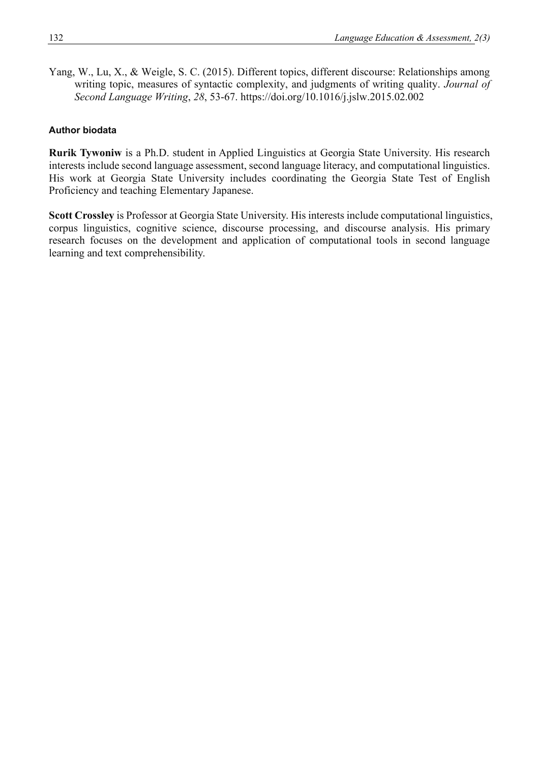Yang, W., Lu, X., & Weigle, S. C. (2015). Different topics, different discourse: Relationships among writing topic, measures of syntactic complexity, and judgments of writing quality. *Journal of Second Language Writing*, *28*, 53-67.<https://doi.org/10.1016/j.jslw.2015.02.002>

#### **Author biodata**

**Rurik Tywoniw** is a Ph.D. student in Applied Linguistics at Georgia State University. His research interests include second language assessment, second language literacy, and computational linguistics. His work at Georgia State University includes coordinating the Georgia State Test of English Proficiency and teaching Elementary Japanese.

**Scott Crossley** is Professor at Georgia State University. His interests include computational linguistics, corpus linguistics, cognitive science, discourse processing, and discourse analysis. His primary research focuses on the development and application of computational tools in second language learning and text comprehensibility.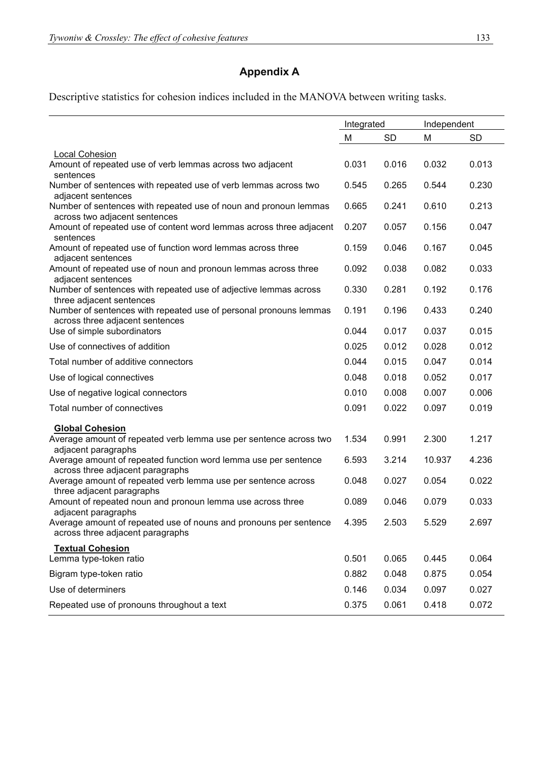# **Appendix A**

Descriptive statistics for cohesion indices included in the MANOVA between writing tasks.

|                                                                                                                    | Integrated |           | Independent |           |
|--------------------------------------------------------------------------------------------------------------------|------------|-----------|-------------|-----------|
|                                                                                                                    | M          | <b>SD</b> | M           | <b>SD</b> |
| <b>Local Cohesion</b>                                                                                              |            |           |             |           |
| Amount of repeated use of verb lemmas across two adjacent<br>sentences                                             | 0.031      | 0.016     | 0.032       | 0.013     |
| Number of sentences with repeated use of verb lemmas across two<br>adjacent sentences                              | 0.545      | 0.265     | 0.544       | 0.230     |
| Number of sentences with repeated use of noun and pronoun lemmas<br>across two adjacent sentences                  | 0.665      | 0.241     | 0.610       | 0.213     |
| Amount of repeated use of content word lemmas across three adjacent<br>sentences                                   | 0.207      | 0.057     | 0.156       | 0.047     |
| Amount of repeated use of function word lemmas across three<br>adjacent sentences                                  | 0.159      | 0.046     | 0.167       | 0.045     |
| Amount of repeated use of noun and pronoun lemmas across three<br>adjacent sentences                               | 0.092      | 0.038     | 0.082       | 0.033     |
| Number of sentences with repeated use of adjective lemmas across<br>three adjacent sentences                       | 0.330      | 0.281     | 0.192       | 0.176     |
| Number of sentences with repeated use of personal pronouns lemmas<br>across three adjacent sentences               | 0.191      | 0.196     | 0.433       | 0.240     |
| Use of simple subordinators                                                                                        | 0.044      | 0.017     | 0.037       | 0.015     |
| Use of connectives of addition                                                                                     | 0.025      | 0.012     | 0.028       | 0.012     |
| Total number of additive connectors                                                                                | 0.044      | 0.015     | 0.047       | 0.014     |
| Use of logical connectives                                                                                         | 0.048      | 0.018     | 0.052       | 0.017     |
| Use of negative logical connectors                                                                                 | 0.010      | 0.008     | 0.007       | 0.006     |
| Total number of connectives                                                                                        | 0.091      | 0.022     | 0.097       | 0.019     |
| <b>Global Cohesion</b><br>Average amount of repeated verb lemma use per sentence across two<br>adjacent paragraphs | 1.534      | 0.991     | 2.300       | 1.217     |
| Average amount of repeated function word lemma use per sentence<br>across three adjacent paragraphs                | 6.593      | 3.214     | 10.937      | 4.236     |
| Average amount of repeated verb lemma use per sentence across<br>three adjacent paragraphs                         | 0.048      | 0.027     | 0.054       | 0.022     |
| Amount of repeated noun and pronoun lemma use across three<br>adjacent paragraphs                                  | 0.089      | 0.046     | 0.079       | 0.033     |
| Average amount of repeated use of nouns and pronouns per sentence 4.395<br>across three adjacent paragraphs        |            | 2.503     | 5.529       | 2.697     |
| <b>Textual Cohesion</b><br>Lemma type-token ratio                                                                  | 0.501      | 0.065     | 0.445       | 0.064     |
| Bigram type-token ratio                                                                                            | 0.882      | 0.048     | 0.875       | 0.054     |
| Use of determiners                                                                                                 | 0.146      | 0.034     | 0.097       | 0.027     |
| Repeated use of pronouns throughout a text                                                                         | 0.375      | 0.061     | 0.418       | 0.072     |